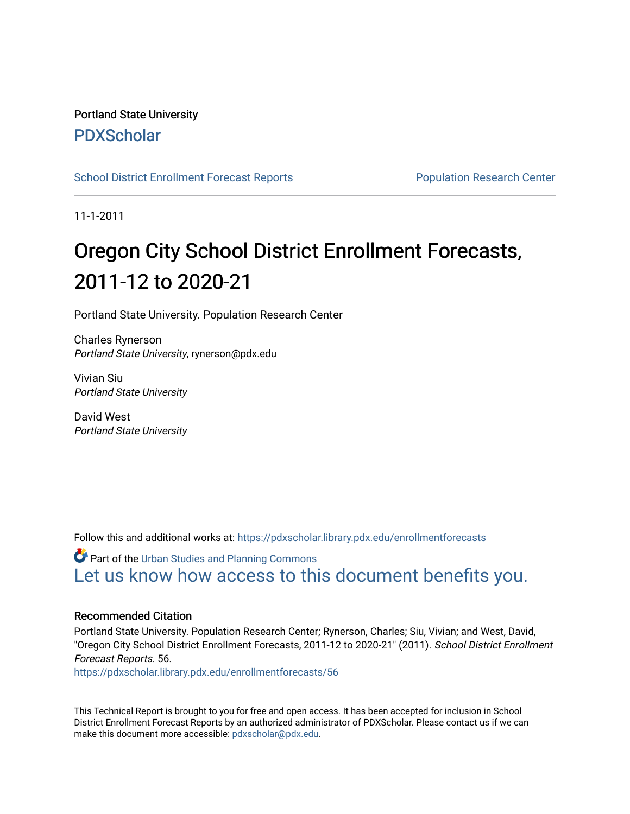### Portland State University [PDXScholar](https://pdxscholar.library.pdx.edu/)

[School District Enrollment Forecast Reports](https://pdxscholar.library.pdx.edu/enrollmentforecasts) **Population Research Center** 

11-1-2011

# Oregon City School District Enrollment Forecasts, 2011-12 to 2020-21

Portland State University. Population Research Center

Charles Rynerson Portland State University, rynerson@pdx.edu

Vivian Siu Portland State University

David West Portland State University

Follow this and additional works at: [https://pdxscholar.library.pdx.edu/enrollmentforecasts](https://pdxscholar.library.pdx.edu/enrollmentforecasts?utm_source=pdxscholar.library.pdx.edu%2Fenrollmentforecasts%2F56&utm_medium=PDF&utm_campaign=PDFCoverPages) 

**Part of the [Urban Studies and Planning Commons](http://network.bepress.com/hgg/discipline/436?utm_source=pdxscholar.library.pdx.edu%2Fenrollmentforecasts%2F56&utm_medium=PDF&utm_campaign=PDFCoverPages)** [Let us know how access to this document benefits you.](http://library.pdx.edu/services/pdxscholar-services/pdxscholar-feedback/?ref=https://pdxscholar.library.pdx.edu/enrollmentforecasts/56) 

#### Recommended Citation

Portland State University. Population Research Center; Rynerson, Charles; Siu, Vivian; and West, David, "Oregon City School District Enrollment Forecasts, 2011-12 to 2020-21" (2011). School District Enrollment Forecast Reports. 56.

[https://pdxscholar.library.pdx.edu/enrollmentforecasts/56](https://pdxscholar.library.pdx.edu/enrollmentforecasts/56?utm_source=pdxscholar.library.pdx.edu%2Fenrollmentforecasts%2F56&utm_medium=PDF&utm_campaign=PDFCoverPages)

This Technical Report is brought to you for free and open access. It has been accepted for inclusion in School District Enrollment Forecast Reports by an authorized administrator of PDXScholar. Please contact us if we can make this document more accessible: [pdxscholar@pdx.edu.](mailto:pdxscholar@pdx.edu)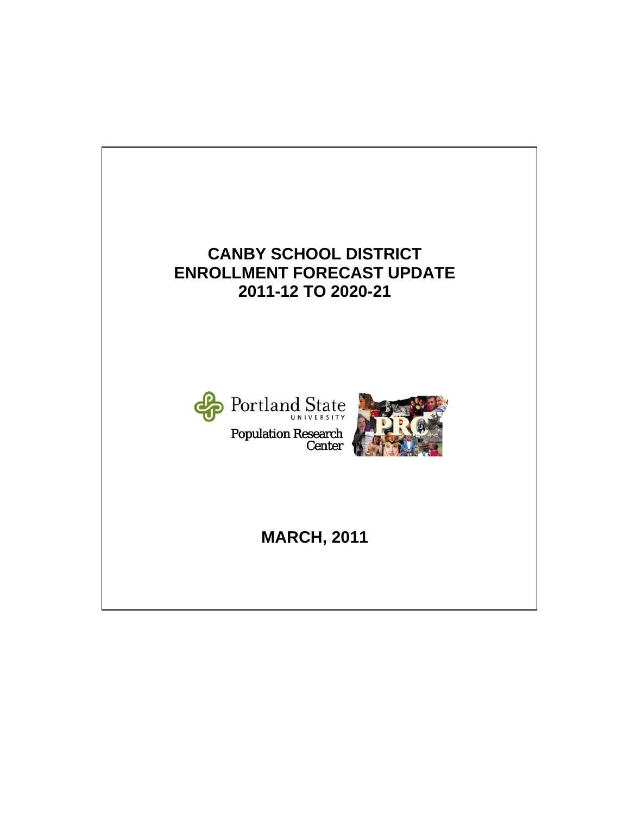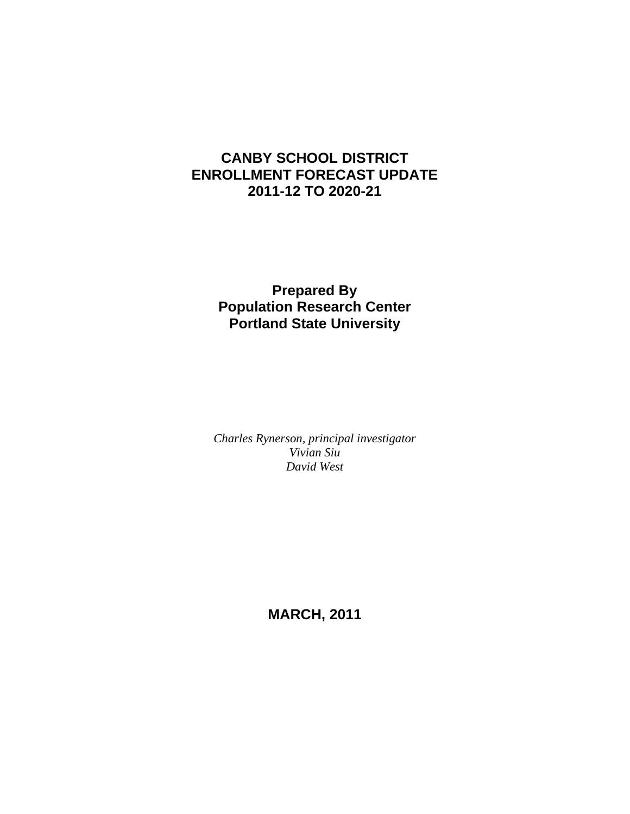### **CANBY SCHOOL DISTRICT ENROLLMENT FORECAST UPDATE 2011-12 TO 2020-21**

### **Prepared By Population Research Center Portland State University**

*Charles Rynerson, principal investigator Vivian Siu David West* 

**MARCH, 2011**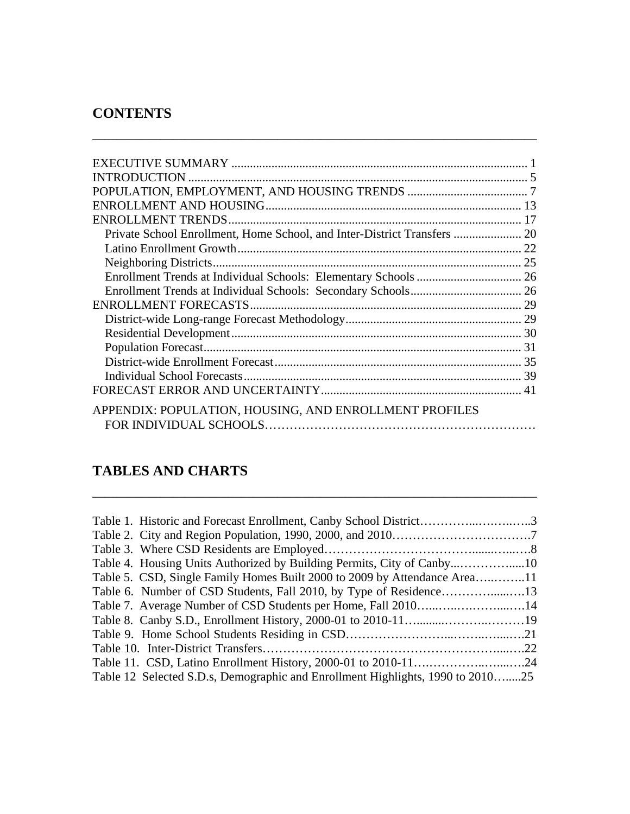### **CONTENTS**

|                                                        | -31 |
|--------------------------------------------------------|-----|
|                                                        |     |
|                                                        |     |
|                                                        |     |
| APPENDIX: POPULATION, HOUSING, AND ENROLLMENT PROFILES |     |

\_\_\_\_\_\_\_\_\_\_\_\_\_\_\_\_\_\_\_\_\_\_\_\_\_\_\_\_\_\_\_\_\_\_\_\_\_\_\_\_\_\_\_\_\_\_\_\_\_\_\_\_\_\_\_\_\_\_\_\_\_\_\_\_\_\_\_\_\_\_\_\_

### **TABLES AND CHARTS**

| Table 1. Historic and Forecast Enrollment, Canby School District3              |  |
|--------------------------------------------------------------------------------|--|
|                                                                                |  |
|                                                                                |  |
|                                                                                |  |
| Table 5. CSD, Single Family Homes Built 2000 to 2009 by Attendance Area11      |  |
|                                                                                |  |
|                                                                                |  |
|                                                                                |  |
|                                                                                |  |
|                                                                                |  |
|                                                                                |  |
| Table 12 Selected S.D.s, Demographic and Enrollment Highlights, 1990 to 201025 |  |

\_\_\_\_\_\_\_\_\_\_\_\_\_\_\_\_\_\_\_\_\_\_\_\_\_\_\_\_\_\_\_\_\_\_\_\_\_\_\_\_\_\_\_\_\_\_\_\_\_\_\_\_\_\_\_\_\_\_\_\_\_\_\_\_\_\_\_\_\_\_\_\_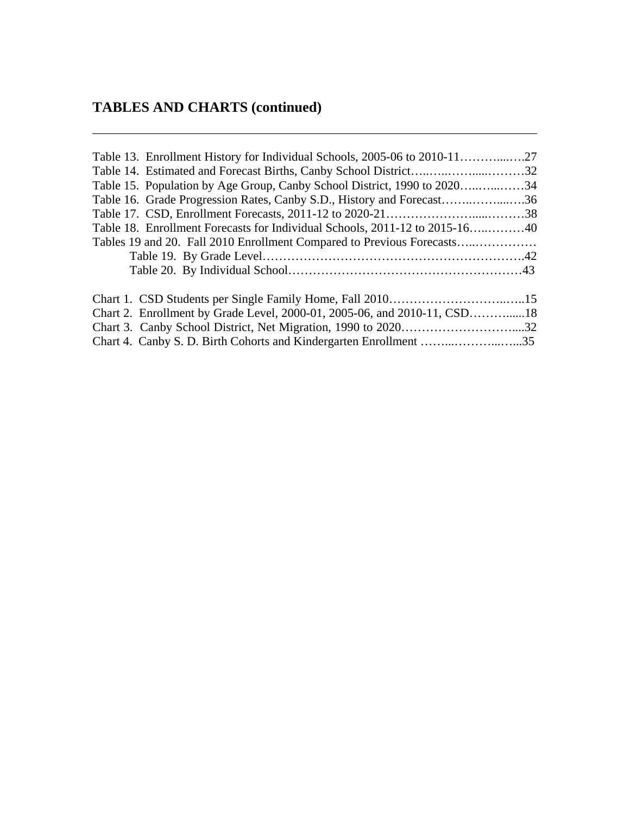## **TABLES AND CHARTS (continued)**

| Table 13. Enrollment History for Individual Schools, 2005-06 to 2010-11     |  |
|-----------------------------------------------------------------------------|--|
|                                                                             |  |
| Table 15. Population by Age Group, Canby School District, 1990 to 202034    |  |
| Table 16. Grade Progression Rates, Canby S.D., History and Forecast36       |  |
|                                                                             |  |
| Table 18. Enrollment Forecasts for Individual Schools, 2011-12 to 2015-1640 |  |
| Tables 19 and 20. Fall 2010 Enrollment Compared to Previous Forecasts       |  |
|                                                                             |  |
|                                                                             |  |
|                                                                             |  |
| Chart 2. Enrollment by Grade Level, 2000-01, 2005-06, and 2010-11, CSD18    |  |
|                                                                             |  |
|                                                                             |  |
|                                                                             |  |

\_\_\_\_\_\_\_\_\_\_\_\_\_\_\_\_\_\_\_\_\_\_\_\_\_\_\_\_\_\_\_\_\_\_\_\_\_\_\_\_\_\_\_\_\_\_\_\_\_\_\_\_\_\_\_\_\_\_\_\_\_\_\_\_\_\_\_\_\_\_\_\_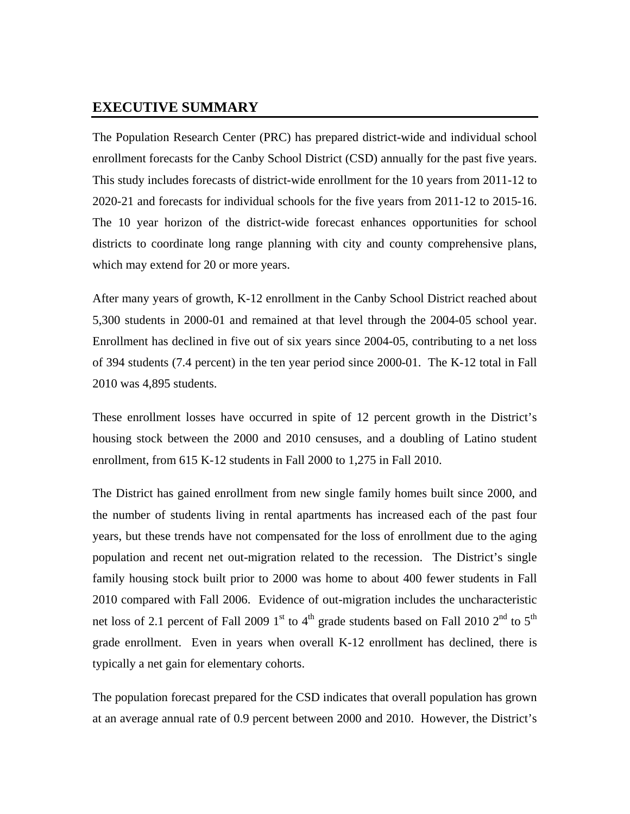#### **EXECUTIVE SUMMARY**

The Population Research Center (PRC) has prepared district-wide and individual school enrollment forecasts for the Canby School District (CSD) annually for the past five years. This study includes forecasts of district-wide enrollment for the 10 years from 2011-12 to 2020-21 and forecasts for individual schools for the five years from 2011-12 to 2015-16. The 10 year horizon of the district-wide forecast enhances opportunities for school districts to coordinate long range planning with city and county comprehensive plans, which may extend for 20 or more years.

After many years of growth, K-12 enrollment in the Canby School District reached about 5,300 students in 2000-01 and remained at that level through the 2004-05 school year. Enrollment has declined in five out of six years since 2004-05, contributing to a net loss of 394 students (7.4 percent) in the ten year period since 2000-01. The K-12 total in Fall 2010 was 4,895 students.

These enrollment losses have occurred in spite of 12 percent growth in the District's housing stock between the 2000 and 2010 censuses, and a doubling of Latino student enrollment, from 615 K-12 students in Fall 2000 to 1,275 in Fall 2010.

The District has gained enrollment from new single family homes built since 2000, and the number of students living in rental apartments has increased each of the past four years, but these trends have not compensated for the loss of enrollment due to the aging population and recent net out-migration related to the recession. The District's single family housing stock built prior to 2000 was home to about 400 fewer students in Fall 2010 compared with Fall 2006. Evidence of out-migration includes the uncharacteristic net loss of 2.1 percent of Fall 2009 1<sup>st</sup> to 4<sup>th</sup> grade students based on Fall 2010 2<sup>nd</sup> to 5<sup>th</sup> grade enrollment. Even in years when overall K-12 enrollment has declined, there is typically a net gain for elementary cohorts.

The population forecast prepared for the CSD indicates that overall population has grown at an average annual rate of 0.9 percent between 2000 and 2010. However, the District's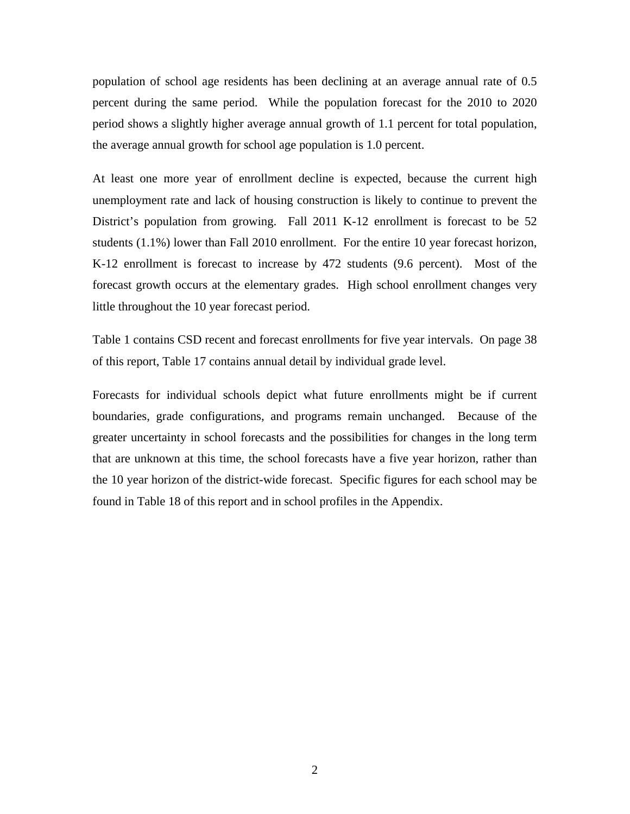population of school age residents has been declining at an average annual rate of 0.5 percent during the same period. While the population forecast for the 2010 to 2020 period shows a slightly higher average annual growth of 1.1 percent for total population, the average annual growth for school age population is 1.0 percent.

At least one more year of enrollment decline is expected, because the current high unemployment rate and lack of housing construction is likely to continue to prevent the District's population from growing. Fall 2011 K-12 enrollment is forecast to be 52 students (1.1%) lower than Fall 2010 enrollment. For the entire 10 year forecast horizon, K-12 enrollment is forecast to increase by 472 students (9.6 percent). Most of the forecast growth occurs at the elementary grades. High school enrollment changes very little throughout the 10 year forecast period.

Table 1 contains CSD recent and forecast enrollments for five year intervals. On page 38 of this report, Table 17 contains annual detail by individual grade level.

Forecasts for individual schools depict what future enrollments might be if current boundaries, grade configurations, and programs remain unchanged. Because of the greater uncertainty in school forecasts and the possibilities for changes in the long term that are unknown at this time, the school forecasts have a five year horizon, rather than the 10 year horizon of the district-wide forecast. Specific figures for each school may be found in Table 18 of this report and in school profiles in the Appendix.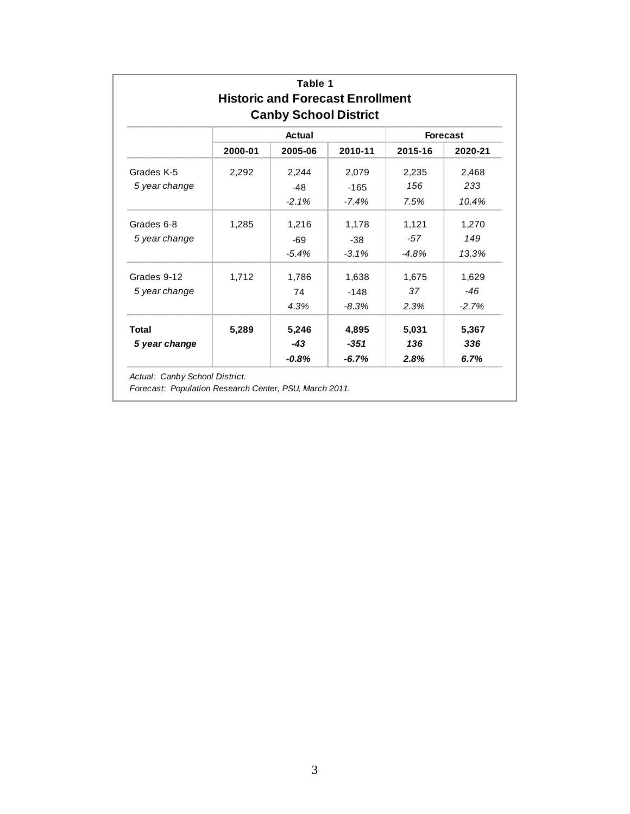| Table 1<br><b>Historic and Forecast Enrollment</b><br><b>Canby School District</b> |         |         |                 |         |         |  |  |  |  |
|------------------------------------------------------------------------------------|---------|---------|-----------------|---------|---------|--|--|--|--|
|                                                                                    |         |         | <b>Forecast</b> |         |         |  |  |  |  |
|                                                                                    | 2000-01 | 2005-06 | 2010-11         | 2015-16 | 2020-21 |  |  |  |  |
| Grades K-5                                                                         | 2,292   | 2,244   | 2,079           | 2,235   | 2,468   |  |  |  |  |
| 5 year change                                                                      |         | $-48$   | $-165$          | 156     | 233     |  |  |  |  |
|                                                                                    |         | $-2.1%$ | $-7.4%$         | 7.5%    | 10.4%   |  |  |  |  |
| Grades 6-8                                                                         | 1,285   | 1,216   | 1,178           | 1,121   | 1,270   |  |  |  |  |
| 5 year change                                                                      |         | $-69$   | $-38$           | $-57$   | 149     |  |  |  |  |
|                                                                                    |         | $-5.4%$ | $-3.1%$         | $-4.8%$ | 13.3%   |  |  |  |  |
| Grades 9-12                                                                        | 1,712   | 1,786   | 1,638           | 1,675   | 1,629   |  |  |  |  |
| 5 year change                                                                      |         | 74      | $-148$          | 37      | $-46$   |  |  |  |  |
|                                                                                    |         | 4.3%    | $-8.3\%$        | 2.3%    | $-2.7%$ |  |  |  |  |
| <b>Total</b>                                                                       | 5,289   | 5,246   | 4,895           | 5,031   | 5,367   |  |  |  |  |
| 5 year change                                                                      |         | $-43$   | -351            | 136     | 336     |  |  |  |  |
|                                                                                    |         | $-0.8%$ | $-6.7\%$        | 2.8%    | 6.7%    |  |  |  |  |

*Actual: Canby School District.*

*Forecast: Population Research Center, PSU, March 2011.*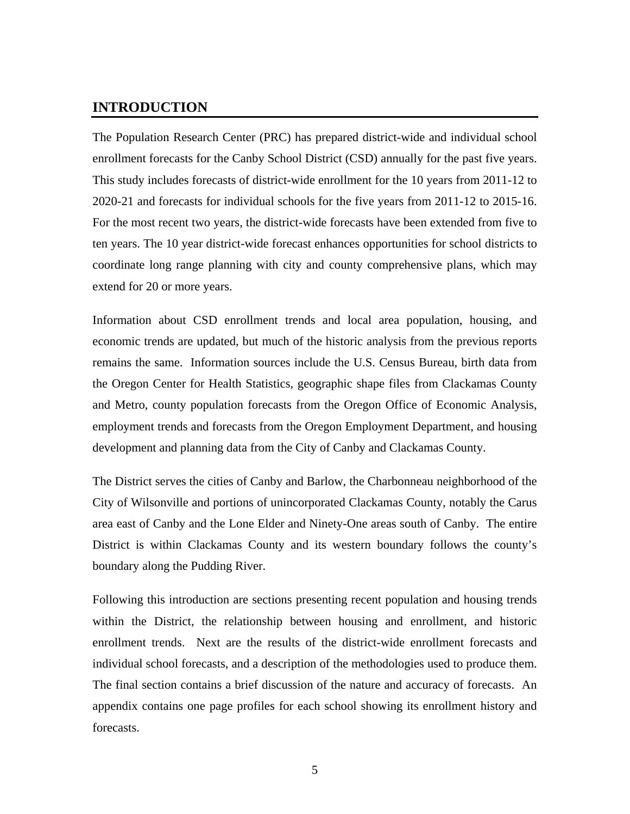#### **INTRODUCTION**

The Population Research Center (PRC) has prepared district-wide and individual school enrollment forecasts for the Canby School District (CSD) annually for the past five years. This study includes forecasts of district-wide enrollment for the 10 years from 2011-12 to 2020-21 and forecasts for individual schools for the five years from 2011-12 to 2015-16. For the most recent two years, the district-wide forecasts have been extended from five to ten years. The 10 year district-wide forecast enhances opportunities for school districts to coordinate long range planning with city and county comprehensive plans, which may extend for 20 or more years.

Information about CSD enrollment trends and local area population, housing, and economic trends are updated, but much of the historic analysis from the previous reports remains the same. Information sources include the U.S. Census Bureau, birth data from the Oregon Center for Health Statistics, geographic shape files from Clackamas County and Metro, county population forecasts from the Oregon Office of Economic Analysis, employment trends and forecasts from the Oregon Employment Department, and housing development and planning data from the City of Canby and Clackamas County.

The District serves the cities of Canby and Barlow, the Charbonneau neighborhood of the City of Wilsonville and portions of unincorporated Clackamas County, notably the Carus area east of Canby and the Lone Elder and Ninety-One areas south of Canby. The entire District is within Clackamas County and its western boundary follows the county's boundary along the Pudding River.

Following this introduction are sections presenting recent population and housing trends within the District, the relationship between housing and enrollment, and historic enrollment trends. Next are the results of the district-wide enrollment forecasts and individual school forecasts, and a description of the methodologies used to produce them. The final section contains a brief discussion of the nature and accuracy of forecasts. An appendix contains one page profiles for each school showing its enrollment history and forecasts.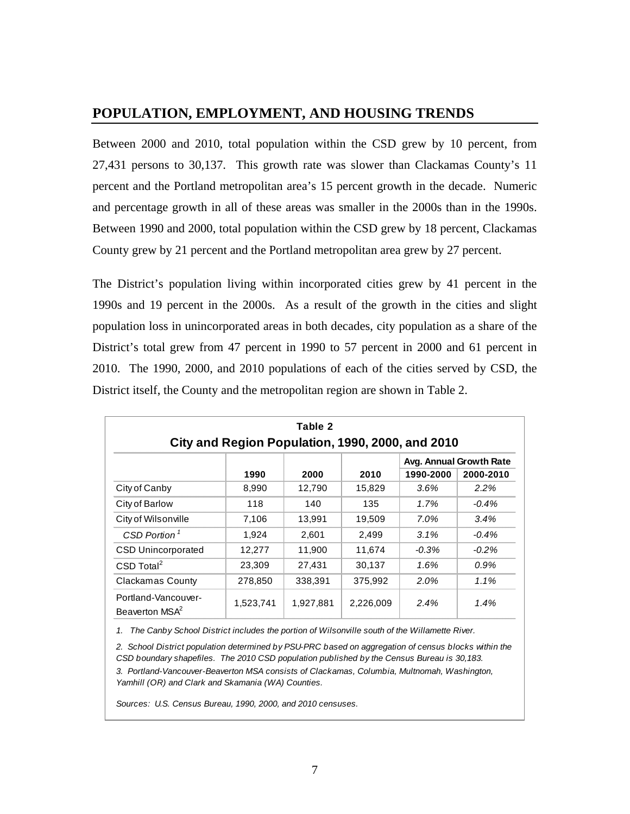### **POPULATION, EMPLOYMENT, AND HOUSING TRENDS**

Between 2000 and 2010, total population within the CSD grew by 10 percent, from 27,431 persons to 30,137. This growth rate was slower than Clackamas County's 11 percent and the Portland metropolitan area's 15 percent growth in the decade. Numeric and percentage growth in all of these areas was smaller in the 2000s than in the 1990s. Between 1990 and 2000, total population within the CSD grew by 18 percent, Clackamas County grew by 21 percent and the Portland metropolitan area grew by 27 percent.

The District's population living within incorporated cities grew by 41 percent in the 1990s and 19 percent in the 2000s. As a result of the growth in the cities and slight population loss in unincorporated areas in both decades, city population as a share of the District's total grew from 47 percent in 1990 to 57 percent in 2000 and 61 percent in 2010. The 1990, 2000, and 2010 populations of each of the cities served by CSD, the District itself, the County and the metropolitan region are shown in Table 2.

| Table 2<br>City and Region Population, 1990, 2000, and 2010 |           |           |           |           |                         |  |  |  |  |
|-------------------------------------------------------------|-----------|-----------|-----------|-----------|-------------------------|--|--|--|--|
|                                                             |           |           |           |           | Avg. Annual Growth Rate |  |  |  |  |
|                                                             | 1990      | 2000      | 2010      | 1990-2000 | 2000-2010               |  |  |  |  |
| City of Canby                                               | 8,990     | 12,790    | 15,829    | $3.6\%$   | 2.2%                    |  |  |  |  |
| City of Barlow                                              | 118       | 140       | 135       | 1.7%      | $-0.4\%$                |  |  |  |  |
| City of Wilsonville                                         | 7,106     | 13,991    | 19,509    | 7.0%      | 3.4%                    |  |  |  |  |
| CSD Portion <sup>1</sup>                                    | 1.924     | 2.601     | 2,499     | 3.1%      | $-0.4%$                 |  |  |  |  |
| <b>CSD Unincorporated</b>                                   | 12,277    | 11,900    | 11,674    | $-0.3%$   | $-0.2\%$                |  |  |  |  |
| $CSD$ Total <sup>2</sup>                                    | 23,309    | 27,431    | 30,137    | 1.6%      | $0.9\%$                 |  |  |  |  |
| Clackamas County                                            | 278,850   | 338,391   | 375,992   | 2.0%      | 1.1%                    |  |  |  |  |
| Portland-Vancouver-<br>Beaverton MSA <sup>2</sup>           | 1,523,741 | 1,927,881 | 2,226,009 | 2.4%      | 1.4%                    |  |  |  |  |

*1. The Canby School District includes the portion of Wilsonville south of the Willamette River.*

*3. Portland-Vancouver-Beaverton MSA consists of Clackamas, Columbia, Multnomah, Washington, Yamhill (OR) and Clark and Skamania (WA) Counties. 2. School District population determined by PSU-PRC based on aggregation of census blocks within the CSD boundary shapefiles. The 2010 CSD population published by the Census Bureau is 30,183.*

*Sources: U.S. Census Bureau, 1990, 2000, and 2010 censuses.*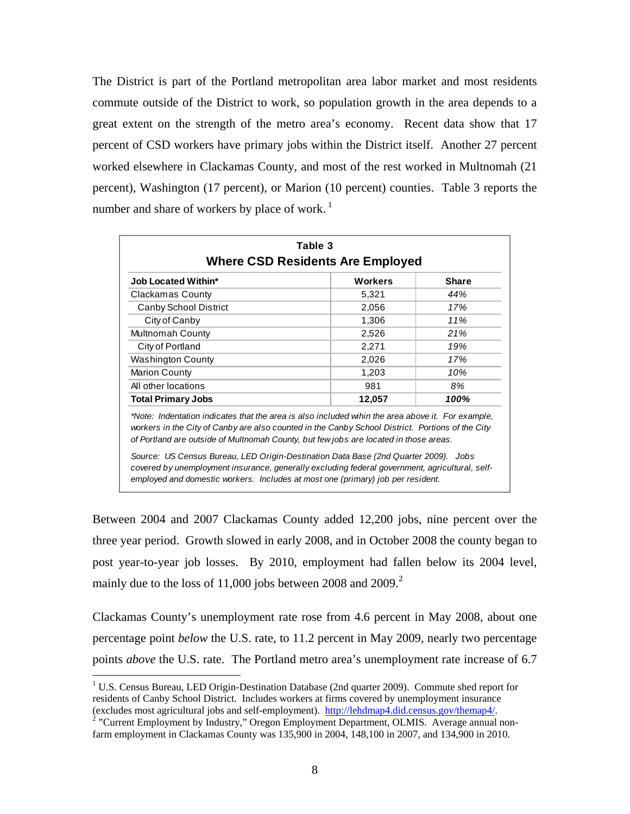The District is part of the Portland metropolitan area labor market and most residents commute outside of the District to work, so population growth in the area depends to a great extent on the strength of the metro area's economy. Recent data show that 17 percent of CSD workers have primary jobs within the District itself. Another 27 percent worked elsewhere in Clackamas County, and most of the rest worked in Multnomah (21 percent), Washington (17 percent), or Marion (10 percent) counties. Table 3 reports the number and share of workers by place of work.<sup>1</sup>

| <b>Job Located Within*</b>                                                                                                                                                                                                                                                                                                                                                                                                                                                                                                                                                 | <b>Workers</b> | <b>Share</b> |
|----------------------------------------------------------------------------------------------------------------------------------------------------------------------------------------------------------------------------------------------------------------------------------------------------------------------------------------------------------------------------------------------------------------------------------------------------------------------------------------------------------------------------------------------------------------------------|----------------|--------------|
| <b>Clackamas County</b>                                                                                                                                                                                                                                                                                                                                                                                                                                                                                                                                                    | 5,321          | 44%          |
| Canby School District                                                                                                                                                                                                                                                                                                                                                                                                                                                                                                                                                      | 2,056          | 17%          |
| City of Canby                                                                                                                                                                                                                                                                                                                                                                                                                                                                                                                                                              | 1,306          | 11%          |
| Multnomah County                                                                                                                                                                                                                                                                                                                                                                                                                                                                                                                                                           | 2,526          | 21%          |
| City of Portland                                                                                                                                                                                                                                                                                                                                                                                                                                                                                                                                                           | 2,271          | 19%          |
| <b>Washington County</b>                                                                                                                                                                                                                                                                                                                                                                                                                                                                                                                                                   | 2,026          | 17%          |
| <b>Marion County</b>                                                                                                                                                                                                                                                                                                                                                                                                                                                                                                                                                       | 1,203          | 10%          |
| All other locations                                                                                                                                                                                                                                                                                                                                                                                                                                                                                                                                                        | 981            | 8%           |
| <b>Total Primary Jobs</b>                                                                                                                                                                                                                                                                                                                                                                                                                                                                                                                                                  | 12,057         | 100%         |
| *Note: Indentation indicates that the area is also included wihin the area above it. For example,<br>workers in the City of Canby are also counted in the Canby School District. Portions of the City<br>of Portland are outside of Multnomah County, but few jobs are located in those areas.<br>Source: US Census Bureau, LED Origin-Destination Data Base (2nd Quarter 2009). Jobs<br>covered by unemployment insurance, generally excluding federal government, agricultural, self-<br>employed and domestic workers. Includes at most one (primary) job per resident. |                |              |

Between 2004 and 2007 Clackamas County added 12,200 jobs, nine percent over the three year period. Growth slowed in early 2008, and in October 2008 the county began to post year-to-year job losses. By 2010, employment had fallen below its 2004 level, mainly due to the loss of 11,000 jobs between 2008 and 2009. $^2$ 

Clackamas County's unemployment rate rose from 4.6 percent in May 2008, about one percentage point *below* the U.S. rate, to 11.2 percent in May 2009, nearly two percentage points *above* the U.S. rate. The Portland metro area's unemployment rate increase of 6.7

1

<sup>&</sup>lt;sup>1</sup> U.S. Census Bureau, LED Origin-Destination Database (2nd quarter 2009). Commute shed report for residents of Canby School District. Includes workers at firms covered by unemployment insurance (excludes most agricultural jobs and self-employment). http://lehdmap4.did.census.gov/themap4/. 2

<sup>&</sup>lt;sup>2</sup> "Current Employment by Industry," Oregon Employment Department, OLMIS. Average annual nonfarm employment in Clackamas County was 135,900 in 2004, 148,100 in 2007, and 134,900 in 2010.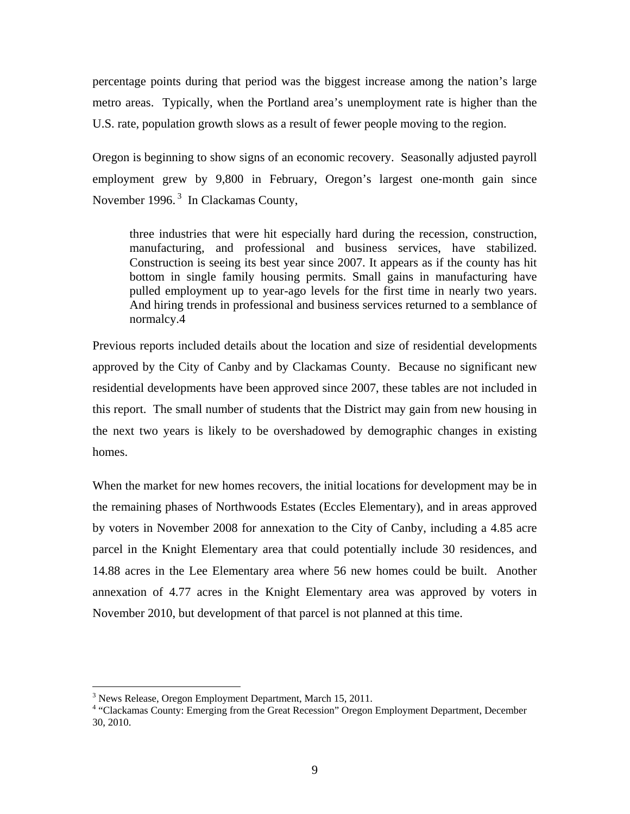percentage points during that period was the biggest increase among the nation's large metro areas. Typically, when the Portland area's unemployment rate is higher than the U.S. rate, population growth slows as a result of fewer people moving to the region.

Oregon is beginning to show signs of an economic recovery. Seasonally adjusted payroll employment grew by 9,800 in February, Oregon's largest one-month gain since November 1996. $3$  In Clackamas County,

three industries that were hit especially hard during the recession, construction, manufacturing, and professional and business services, have stabilized. Construction is seeing its best year since 2007. It appears as if the county has hit bottom in single family housing permits. Small gains in manufacturing have pulled employment up to year-ago levels for the first time in nearly two years. And hiring trends in professional and business services returned to a semblance of normalcy.4

Previous reports included details about the location and size of residential developments approved by the City of Canby and by Clackamas County. Because no significant new residential developments have been approved since 2007, these tables are not included in this report. The small number of students that the District may gain from new housing in the next two years is likely to be overshadowed by demographic changes in existing homes.

When the market for new homes recovers, the initial locations for development may be in the remaining phases of Northwoods Estates (Eccles Elementary), and in areas approved by voters in November 2008 for annexation to the City of Canby, including a 4.85 acre parcel in the Knight Elementary area that could potentially include 30 residences, and 14.88 acres in the Lee Elementary area where 56 new homes could be built. Another annexation of 4.77 acres in the Knight Elementary area was approved by voters in November 2010, but development of that parcel is not planned at this time.

 $\overline{a}$ 

<sup>&</sup>lt;sup>3</sup> News Release, Oregon Employment Department, March 15, 2011.

<sup>&</sup>lt;sup>4</sup> "Clackamas County: Emerging from the Great Recession" Oregon Employment Department, December 30, 2010.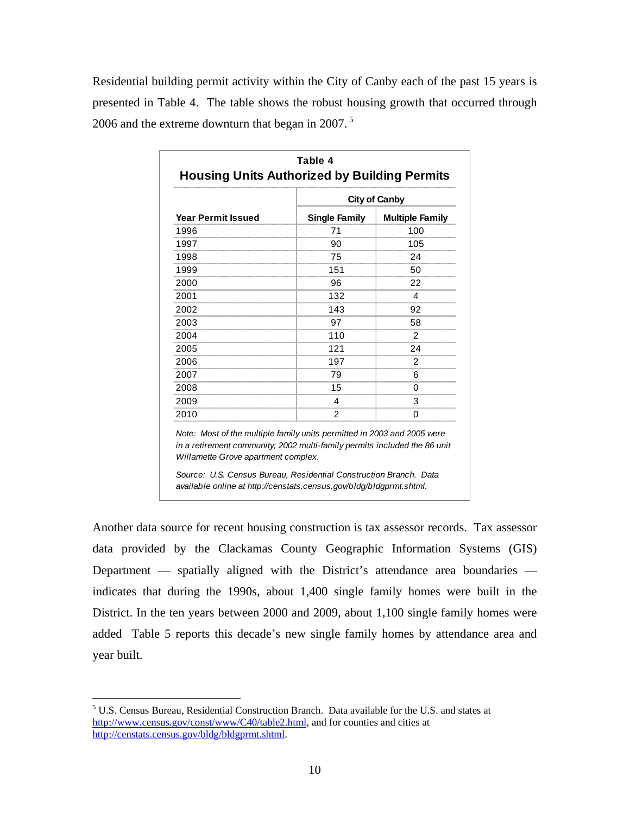Residential building permit activity within the City of Canby each of the past 15 years is presented in Table 4. The table shows the robust housing growth that occurred through 2006 and the extreme downturn that began in 2007. 5

|                           |                      | <b>City of Canby</b>   |
|---------------------------|----------------------|------------------------|
| <b>Year Permit Issued</b> | <b>Single Family</b> | <b>Multiple Family</b> |
| 1996                      | 71                   | 100                    |
| 1997                      | 90                   | 105                    |
| 1998                      | 75                   | 24                     |
| 1999                      | 151                  | 50                     |
| 2000                      | 96                   | 22                     |
| 2001                      | 132                  | 4                      |
| 2002                      | 143                  | 92                     |
| 2003                      | 97                   | 58                     |
| 2004                      | 110                  | 2                      |
| 2005                      | 121                  | 24                     |
| 2006                      | 197                  | 2                      |
| 2007                      | 79                   | 6                      |
| 2008                      | 15                   | 0                      |
| 2009                      | 4                    | 3                      |
| 2010                      | $\overline{2}$       | 0                      |

Another data source for recent housing construction is tax assessor records. Tax assessor data provided by the Clackamas County Geographic Information Systems (GIS) Department — spatially aligned with the District's attendance area boundaries indicates that during the 1990s, about 1,400 single family homes were built in the District. In the ten years between 2000 and 2009, about 1,100 single family homes were added Table 5 reports this decade's new single family homes by attendance area and year built.

 $\overline{a}$ 

<sup>&</sup>lt;sup>5</sup> U.S. Census Bureau, Residential Construction Branch. Data available for the U.S. and states at http://www.census.gov/const/www/C40/table2.html, and for counties and cities at http://censtats.census.gov/bldg/bldgprmt.shtml.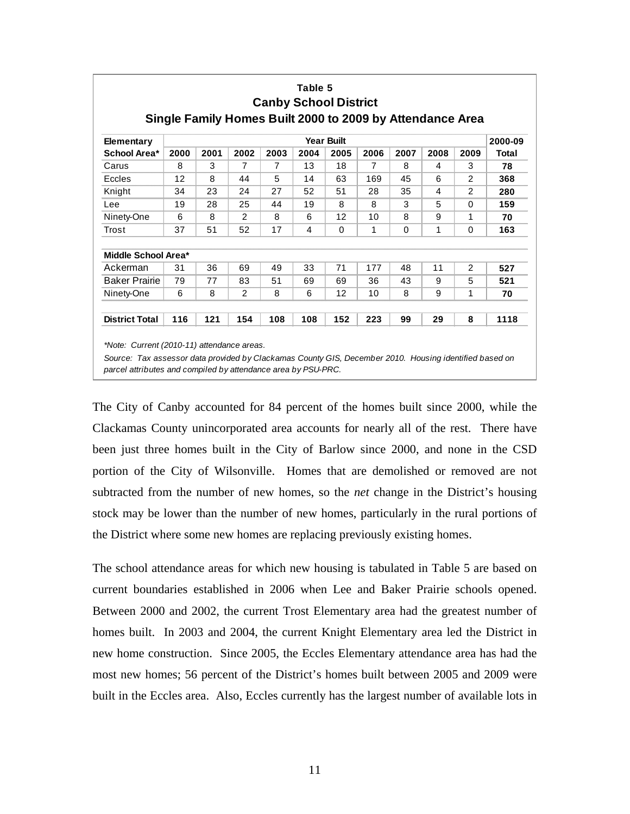| <b>Elementary</b>     | <b>Year Built</b> |      |      |      |      |      |      |          |      |      |              |  |
|-----------------------|-------------------|------|------|------|------|------|------|----------|------|------|--------------|--|
| School Area*          | 2000              | 2001 | 2002 | 2003 | 2004 | 2005 | 2006 | 2007     | 2008 | 2009 | <b>Total</b> |  |
| Carus                 | 8                 | 3    | 7    | 7    | 13   | 18   | 7    | 8        | 4    | 3    | 78           |  |
| Eccles                | 12                | 8    | 44   | 5    | 14   | 63   | 169  | 45       | 6    | 2    | 368          |  |
| Knight                | 34                | 23   | 24   | 27   | 52   | 51   | 28   | 35       | 4    | 2    | 280          |  |
| Lee                   | 19                | 28   | 25   | 44   | 19   | 8    | 8    | 3        | 5    | 0    | 159          |  |
| Ninety-One            | 6                 | 8    | 2    | 8    | 6    | 12   | 10   | 8        | 9    | 1    | 70           |  |
| Trost                 | 37                | 51   | 52   | 17   | 4    | 0    | 1    | $\Omega$ | 1    | 0    | 163          |  |
| Middle School Area*   |                   |      |      |      |      |      |      |          |      |      |              |  |
| Ackerman              | 31                | 36   | 69   | 49   | 33   | 71   | 177  | 48       | 11   | 2    | 527          |  |
| <b>Baker Prairie</b>  | 79                | 77   | 83   | 51   | 69   | 69   | 36   | 43       | 9    | 5    | 521          |  |
| Ninety-One            | 6                 | 8    | 2    | 8    | 6    | 12   | 10   | 8        | 9    | 1    | 70           |  |
| <b>District Total</b> | 116               | 121  | 154  | 108  | 108  | 152  | 223  | 99       | 29   | 8    | 1118         |  |

**Table 5**

The City of Canby accounted for 84 percent of the homes built since 2000, while the Clackamas County unincorporated area accounts for nearly all of the rest. There have been just three homes built in the City of Barlow since 2000, and none in the CSD portion of the City of Wilsonville. Homes that are demolished or removed are not subtracted from the number of new homes, so the *net* change in the District's housing stock may be lower than the number of new homes, particularly in the rural portions of the District where some new homes are replacing previously existing homes.

The school attendance areas for which new housing is tabulated in Table 5 are based on current boundaries established in 2006 when Lee and Baker Prairie schools opened. Between 2000 and 2002, the current Trost Elementary area had the greatest number of homes built. In 2003 and 2004, the current Knight Elementary area led the District in new home construction. Since 2005, the Eccles Elementary attendance area has had the most new homes; 56 percent of the District's homes built between 2005 and 2009 were built in the Eccles area. Also, Eccles currently has the largest number of available lots in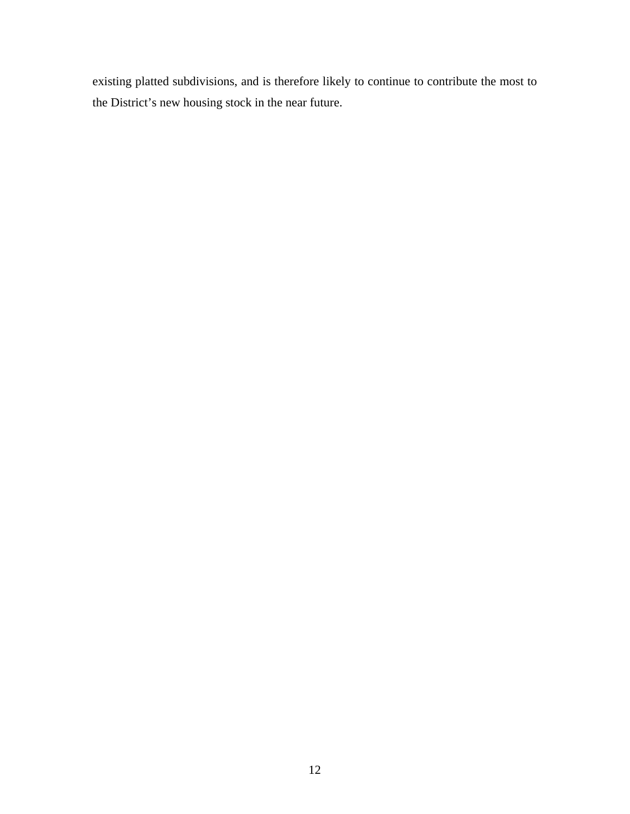existing platted subdivisions, and is therefore likely to continue to contribute the most to the District's new housing stock in the near future.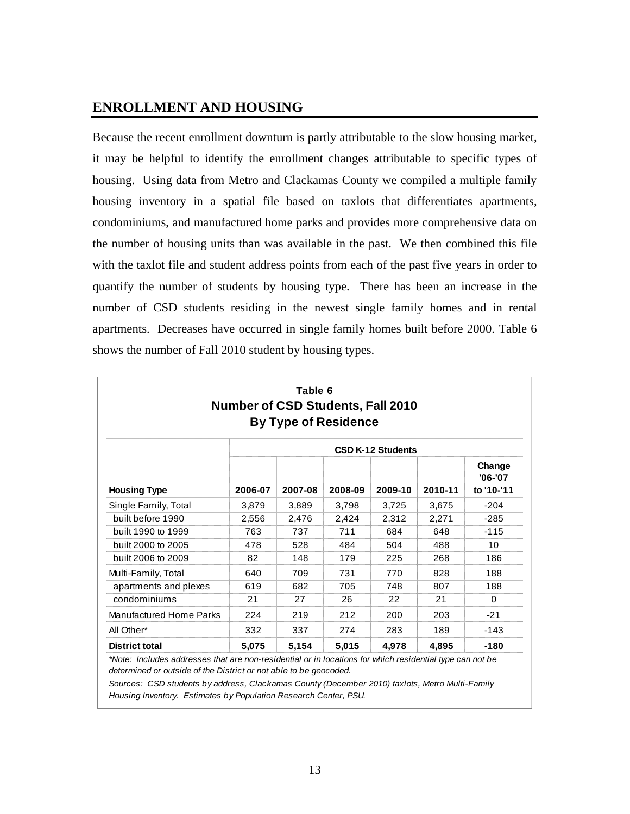### **ENROLLMENT AND HOUSING**

Because the recent enrollment downturn is partly attributable to the slow housing market, it may be helpful to identify the enrollment changes attributable to specific types of housing. Using data from Metro and Clackamas County we compiled a multiple family housing inventory in a spatial file based on taxlots that differentiates apartments, condominiums, and manufactured home parks and provides more comprehensive data on the number of housing units than was available in the past. We then combined this file with the taxlot file and student address points from each of the past five years in order to quantify the number of students by housing type. There has been an increase in the number of CSD students residing in the newest single family homes and in rental apartments. Decreases have occurred in single family homes built before 2000. Table 6 shows the number of Fall 2010 student by housing types.

| Table 6<br><b>Number of CSD Students, Fall 2010</b><br><b>By Type of Residence</b> |         |         |         |         |         |                                     |  |  |  |
|------------------------------------------------------------------------------------|---------|---------|---------|---------|---------|-------------------------------------|--|--|--|
| <b>CSD K-12 Students</b>                                                           |         |         |         |         |         |                                     |  |  |  |
| <b>Housing Type</b>                                                                | 2006-07 | 2007-08 | 2008-09 | 2009-10 | 2010-11 | Change<br>$'06 - '07$<br>to '10-'11 |  |  |  |
| Single Family, Total                                                               | 3,879   | 3,889   | 3,798   | 3,725   | 3,675   | $-204$                              |  |  |  |
| built before 1990                                                                  | 2,556   | 2,476   | 2,424   | 2,312   | 2,271   | $-285$                              |  |  |  |
| built 1990 to 1999                                                                 | 763     | 737     | 711     | 684     | 648     | $-115$                              |  |  |  |
| built 2000 to 2005                                                                 | 478     | 528     | 484     | 504     | 488     | 10                                  |  |  |  |
| built 2006 to 2009                                                                 | 82      | 148     | 179     | 225     | 268     | 186                                 |  |  |  |
| Multi-Family, Total                                                                | 640     | 709     | 731     | 770     | 828     | 188                                 |  |  |  |
| apartments and plexes                                                              | 619     | 682     | 705     | 748     | 807     | 188                                 |  |  |  |
| condominiums                                                                       | 21      | 27      | 26      | 22      | 21      | 0                                   |  |  |  |
| Manufactured Home Parks                                                            | 224     | 219     | 212     | 200     | 203     | $-21$                               |  |  |  |
| All Other*                                                                         | 332     | 337     | 274     | 283     | 189     | -143                                |  |  |  |
| <b>District total</b>                                                              | 5,075   | 5,154   | 5,015   | 4,978   | 4,895   | -180                                |  |  |  |

*\*Note: Includes addresses that are non-residential or in locations for which residential type can not be determined or outside of the District or not able to be geocoded.*

*Sources: CSD students by address, Clackamas County (December 2010) taxlots, Metro Multi-Family Housing Inventory. Estimates by Population Research Center, PSU.*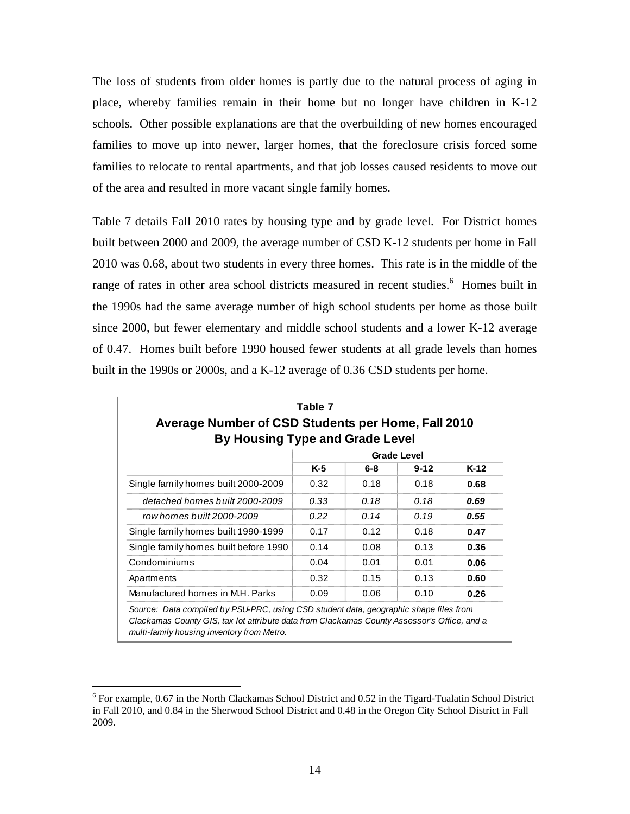The loss of students from older homes is partly due to the natural process of aging in place, whereby families remain in their home but no longer have children in K-12 schools. Other possible explanations are that the overbuilding of new homes encouraged families to move up into newer, larger homes, that the foreclosure crisis forced some families to relocate to rental apartments, and that job losses caused residents to move out of the area and resulted in more vacant single family homes.

Table 7 details Fall 2010 rates by housing type and by grade level. For District homes built between 2000 and 2009, the average number of CSD K-12 students per home in Fall 2010 was 0.68, about two students in every three homes. This rate is in the middle of the range of rates in other area school districts measured in recent studies.<sup>6</sup> Homes built in the 1990s had the same average number of high school students per home as those built since 2000, but fewer elementary and middle school students and a lower K-12 average of 0.47. Homes built before 1990 housed fewer students at all grade levels than homes built in the 1990s or 2000s, and a K-12 average of 0.36 CSD students per home.

| Average Number of CSD Students per Home, Fall 2010<br><b>By Housing Type and Grade Level</b> |       |      |                    |      |  |  |  |  |  |  |
|----------------------------------------------------------------------------------------------|-------|------|--------------------|------|--|--|--|--|--|--|
|                                                                                              |       |      | <b>Grade Level</b> |      |  |  |  |  |  |  |
|                                                                                              | $K-5$ | 6-8  | $9 - 12$           | K-12 |  |  |  |  |  |  |
| Single family homes built 2000-2009                                                          | 0.32  | 0.18 | 0.18               | 0.68 |  |  |  |  |  |  |
| detached homes built 2000-2009                                                               | 0.33  | 0.18 | 0.18               | 0.69 |  |  |  |  |  |  |
| row homes built 2000-2009                                                                    | 0.22  | 0.14 | 0.19               | 0.55 |  |  |  |  |  |  |
| Single family homes built 1990-1999                                                          | 0.17  | 0.12 | 0.18               | 0.47 |  |  |  |  |  |  |
| Single family homes built before 1990                                                        | 0.14  | 0.08 | 0.13               | 0.36 |  |  |  |  |  |  |
| Condominiums                                                                                 | 0.04  | 0.01 | 0.01               | 0.06 |  |  |  |  |  |  |
| Apartments                                                                                   | 0.32  | 0.15 | 0.13               | 0.60 |  |  |  |  |  |  |
| Manufactured homes in M.H. Parks                                                             | 0.09  | 0.06 | 0.10               | 0.26 |  |  |  |  |  |  |

<u>.</u>

 $6$  For example, 0.67 in the North Clackamas School District and 0.52 in the Tigard-Tualatin School District in Fall 2010, and 0.84 in the Sherwood School District and 0.48 in the Oregon City School District in Fall 2009.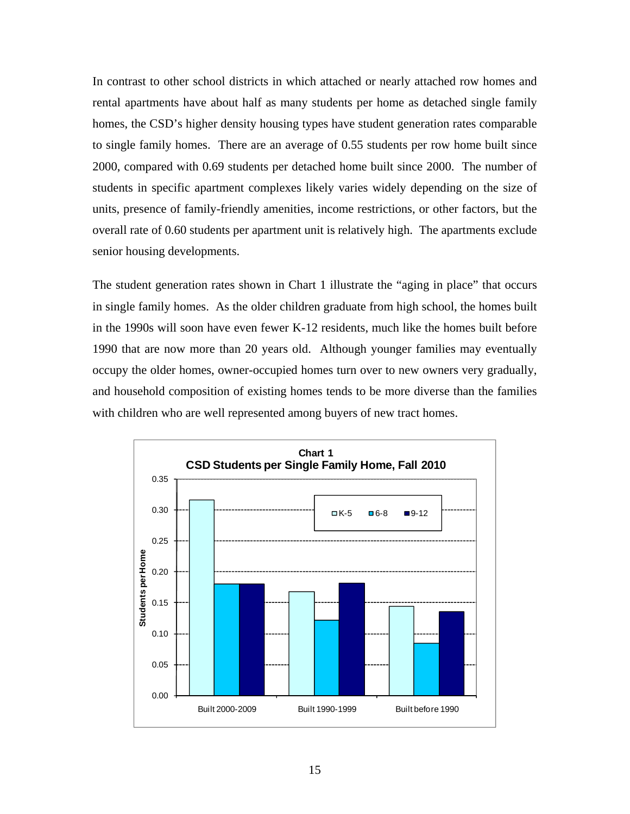In contrast to other school districts in which attached or nearly attached row homes and rental apartments have about half as many students per home as detached single family homes, the CSD's higher density housing types have student generation rates comparable to single family homes. There are an average of 0.55 students per row home built since 2000, compared with 0.69 students per detached home built since 2000. The number of students in specific apartment complexes likely varies widely depending on the size of units, presence of family-friendly amenities, income restrictions, or other factors, but the overall rate of 0.60 students per apartment unit is relatively high. The apartments exclude senior housing developments.

The student generation rates shown in Chart 1 illustrate the "aging in place" that occurs in single family homes. As the older children graduate from high school, the homes built in the 1990s will soon have even fewer K-12 residents, much like the homes built before 1990 that are now more than 20 years old. Although younger families may eventually occupy the older homes, owner-occupied homes turn over to new owners very gradually, and household composition of existing homes tends to be more diverse than the families with children who are well represented among buyers of new tract homes.

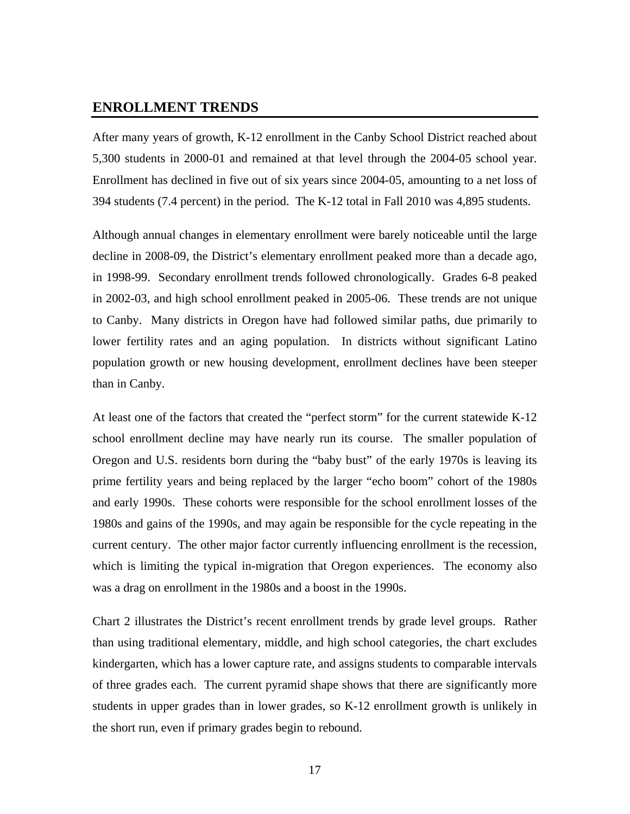#### **ENROLLMENT TRENDS**

After many years of growth, K-12 enrollment in the Canby School District reached about 5,300 students in 2000-01 and remained at that level through the 2004-05 school year. Enrollment has declined in five out of six years since 2004-05, amounting to a net loss of 394 students (7.4 percent) in the period. The K-12 total in Fall 2010 was 4,895 students.

Although annual changes in elementary enrollment were barely noticeable until the large decline in 2008-09, the District's elementary enrollment peaked more than a decade ago, in 1998-99. Secondary enrollment trends followed chronologically. Grades 6-8 peaked in 2002-03, and high school enrollment peaked in 2005-06. These trends are not unique to Canby. Many districts in Oregon have had followed similar paths, due primarily to lower fertility rates and an aging population. In districts without significant Latino population growth or new housing development, enrollment declines have been steeper than in Canby.

At least one of the factors that created the "perfect storm" for the current statewide K-12 school enrollment decline may have nearly run its course. The smaller population of Oregon and U.S. residents born during the "baby bust" of the early 1970s is leaving its prime fertility years and being replaced by the larger "echo boom" cohort of the 1980s and early 1990s. These cohorts were responsible for the school enrollment losses of the 1980s and gains of the 1990s, and may again be responsible for the cycle repeating in the current century. The other major factor currently influencing enrollment is the recession, which is limiting the typical in-migration that Oregon experiences. The economy also was a drag on enrollment in the 1980s and a boost in the 1990s.

Chart 2 illustrates the District's recent enrollment trends by grade level groups. Rather than using traditional elementary, middle, and high school categories, the chart excludes kindergarten, which has a lower capture rate, and assigns students to comparable intervals of three grades each. The current pyramid shape shows that there are significantly more students in upper grades than in lower grades, so K-12 enrollment growth is unlikely in the short run, even if primary grades begin to rebound.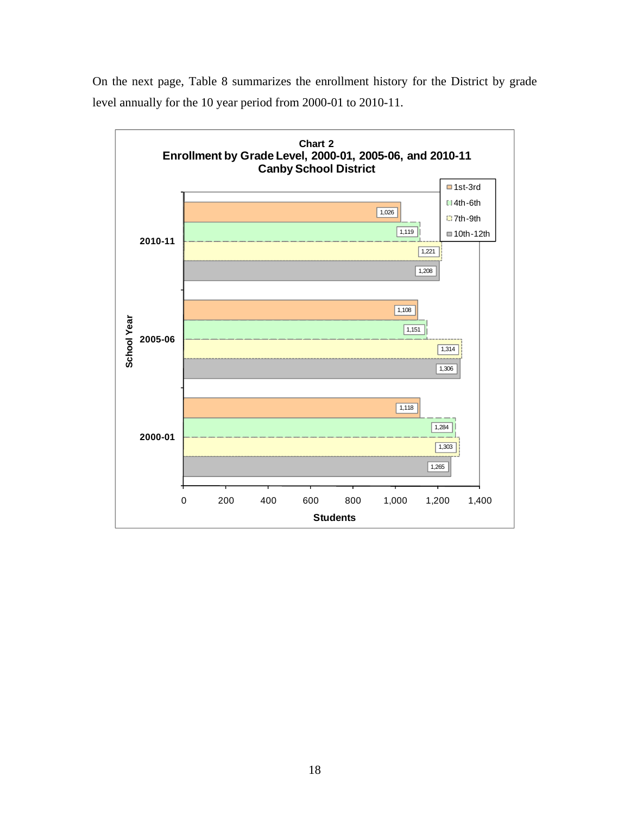

On the next page, Table 8 summarizes the enrollment history for the District by grade level annually for the 10 year period from 2000-01 to 2010-11.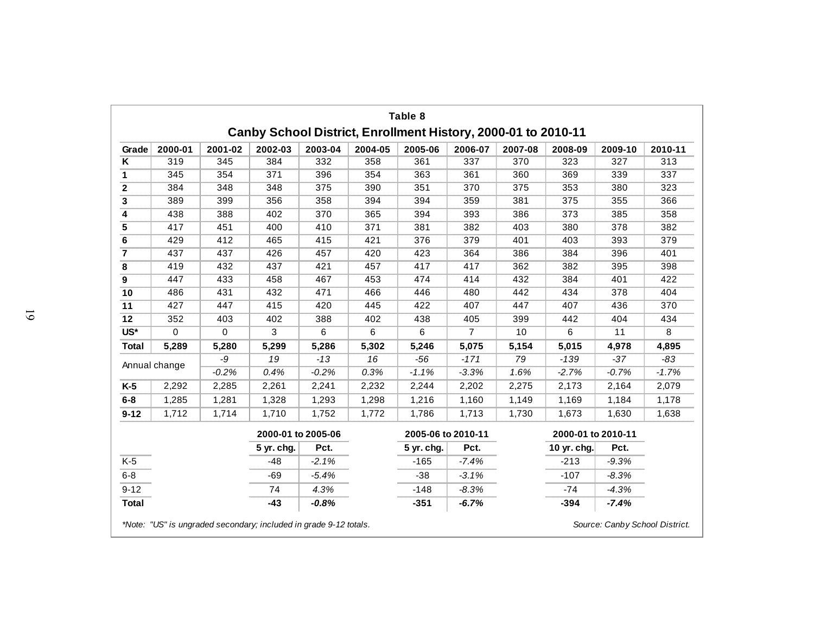|                            |               |          |                    |         |         | Table 8<br>Canby School District, Enrollment History, 2000-01 to 2010-11 |                |         |                    |         |         |
|----------------------------|---------------|----------|--------------------|---------|---------|--------------------------------------------------------------------------|----------------|---------|--------------------|---------|---------|
| Grade                      | 2000-01       | 2001-02  | 2002-03            | 2003-04 | 2004-05 | 2005-06                                                                  | 2006-07        | 2007-08 | 2008-09            | 2009-10 | 2010-11 |
| $\overline{\mathsf{K}}$    | 319           | 345      | 384                | 332     | 358     | 361                                                                      | 337            | 370     | 323                | 327     | 313     |
| 1                          | 345           | 354      | 371                | 396     | 354     | 363                                                                      | 361            | 360     | 369                | 339     | 337     |
| $\mathbf 2$                | 384           | 348      | 348                | 375     | 390     | 351                                                                      | 370            | 375     | 353                | 380     | 323     |
| 3                          | 389           | 399      | 356                | 358     | 394     | 394                                                                      | 359            | 381     | 375                | 355     | 366     |
| 4                          | 438           | 388      | 402                | 370     | 365     | 394                                                                      | 393            | 386     | 373                | 385     | 358     |
| 5                          | 417           | 451      | 400                | 410     | 371     | 381                                                                      | 382            | 403     | 380                | 378     | 382     |
| 6                          | 429           | 412      | 465                | 415     | 421     | 376                                                                      | 379            | 401     | 403                | 393     | 379     |
| $\overline{7}$             | 437           | 437      | 426                | 457     | 420     | 423                                                                      | 364            | 386     | 384                | 396     | 401     |
| 8                          | 419           | 432      | 437                | 421     | 457     | 417                                                                      | 417            | 362     | 382                | 395     | 398     |
| $\boldsymbol{9}$           | 447           | 433      | 458                | 467     | 453     | 474                                                                      | 414            | 432     | 384                | 401     | 422     |
| 10                         | 486           | 431      | 432                | 471     | 466     | 446                                                                      | 480            | 442     | 434                | 378     | 404     |
| 11                         | 427           | 447      | 415                | 420     | 445     | 422                                                                      | 407            | 447     | 407                | 436     | 370     |
| 12                         | 352           | 403      | 402                | 388     | 402     | 438                                                                      | 405            | 399     | 442                | 404     | 434     |
| $\overline{\mathsf{US}^*}$ | $\Omega$      | $\Omega$ | 3                  | 6       | 6       | 6                                                                        | $\overline{7}$ | 10      | 6                  | 11      | 8       |
| <b>Total</b>               | 5,289         | 5,280    | 5,299              | 5,286   | 5,302   | 5,246                                                                    | 5,075          | 5,154   | 5,015              | 4,978   | 4,895   |
|                            | Annual change | -9       | 19                 | $-13$   | 16      | $-56$                                                                    | $-171$         | 79      | $-139$             | $-37$   | $-83$   |
|                            |               | $-0.2%$  | 0.4%               | $-0.2%$ | 0.3%    | $-1.1%$                                                                  | $-3.3%$        | 1.6%    | $-2.7%$            | $-0.7%$ | $-1.7%$ |
| $K-5$                      | 2,292         | 2,285    | 2,261              | 2,241   | 2,232   | 2,244                                                                    | 2,202          | 2,275   | 2,173              | 2,164   | 2,079   |
| $6 - 8$                    | 1,285         | 1,281    | 1,328              | 1,293   | 1,298   | 1,216                                                                    | 1,160          | 1,149   | 1,169              | 1,184   | 1,178   |
| $9 - 12$                   | 1,712         | 1,714    | 1,710              | 1,752   | 1,772   | 1,786                                                                    | 1,713          | 1,730   | 1,673              | 1,630   | 1,638   |
|                            |               |          | 2000-01 to 2005-06 |         |         | 2005-06 to 2010-11                                                       |                |         | 2000-01 to 2010-11 |         |         |
|                            |               |          | 5 yr. chg.         | Pct.    |         | 5 yr. chg.                                                               | Pct.           |         | 10 yr. chg.        | Pct.    |         |
| $K-5$                      |               |          | $-48$              | $-2.1%$ |         | $-165$                                                                   | $-7.4%$        |         | $-213$             | $-9.3%$ |         |
| $6 - 8$                    |               |          | $-69$              | $-5.4%$ |         | $-38$                                                                    | $-3.1%$        |         | $-107$             | $-8.3%$ |         |
| $9 - 12$                   |               |          | 74                 | 4.3%    |         | $-148$                                                                   | $-8.3%$        |         | $-74$              | $-4.3%$ |         |
| <b>Total</b>               |               |          | $-43$              | $-0.8%$ |         | $-351$                                                                   | $-6.7%$        |         | $-394$             | $-7.4%$ |         |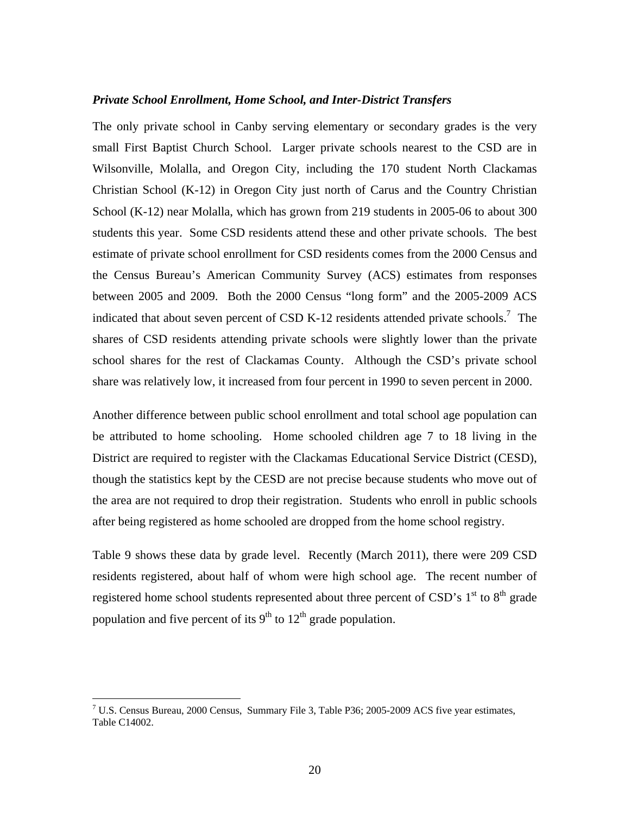#### *Private School Enrollment, Home School, and Inter-District Transfers*

The only private school in Canby serving elementary or secondary grades is the very small First Baptist Church School. Larger private schools nearest to the CSD are in Wilsonville, Molalla, and Oregon City, including the 170 student North Clackamas Christian School (K-12) in Oregon City just north of Carus and the Country Christian School (K-12) near Molalla, which has grown from 219 students in 2005-06 to about 300 students this year. Some CSD residents attend these and other private schools. The best estimate of private school enrollment for CSD residents comes from the 2000 Census and the Census Bureau's American Community Survey (ACS) estimates from responses between 2005 and 2009. Both the 2000 Census "long form" and the 2005-2009 ACS indicated that about seven percent of CSD K-12 residents attended private schools.<sup>7</sup> The shares of CSD residents attending private schools were slightly lower than the private school shares for the rest of Clackamas County. Although the CSD's private school share was relatively low, it increased from four percent in 1990 to seven percent in 2000.

Another difference between public school enrollment and total school age population can be attributed to home schooling. Home schooled children age 7 to 18 living in the District are required to register with the Clackamas Educational Service District (CESD), though the statistics kept by the CESD are not precise because students who move out of the area are not required to drop their registration. Students who enroll in public schools after being registered as home schooled are dropped from the home school registry.

Table 9 shows these data by grade level. Recently (March 2011), there were 209 CSD residents registered, about half of whom were high school age. The recent number of registered home school students represented about three percent of CSD's  $1<sup>st</sup>$  to  $8<sup>th</sup>$  grade population and five percent of its  $9<sup>th</sup>$  to  $12<sup>th</sup>$  grade population.

 $\overline{a}$ 

 $7 \text{ U.S.}$  Census Bureau, 2000 Census, Summary File 3, Table P36; 2005-2009 ACS five year estimates, Table C14002.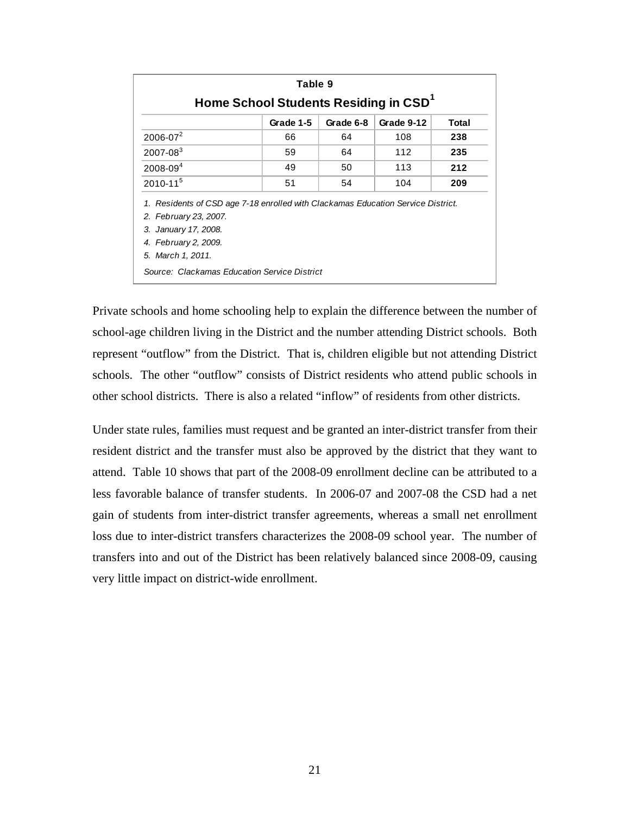| Table 9                                                                                                                           |    |    |     |     |  |  |  |  |  |  |
|-----------------------------------------------------------------------------------------------------------------------------------|----|----|-----|-----|--|--|--|--|--|--|
| Home School Students Residing in CSD <sup>1</sup><br>Grade 1-5<br>Grade 6-8<br>Grade 9-12<br>Total                                |    |    |     |     |  |  |  |  |  |  |
| $2006 - 07^2$                                                                                                                     | 66 | 64 | 108 | 238 |  |  |  |  |  |  |
| $2007 - 083$                                                                                                                      | 59 | 64 | 112 | 235 |  |  |  |  |  |  |
| $2008 - 094$                                                                                                                      | 49 | 50 | 113 | 212 |  |  |  |  |  |  |
| $2010 - 11^{5}$                                                                                                                   | 51 | 54 | 104 | 209 |  |  |  |  |  |  |
| 1. Residents of CSD age 7-18 enrolled with Clackamas Education Service District.<br>2. February 23, 2007.<br>3. January 17, 2008. |    |    |     |     |  |  |  |  |  |  |
| 4. February 2, 2009.<br>5. March 1, 2011.                                                                                         |    |    |     |     |  |  |  |  |  |  |
| Source: Clackamas Education Service District                                                                                      |    |    |     |     |  |  |  |  |  |  |

Private schools and home schooling help to explain the difference between the number of school-age children living in the District and the number attending District schools. Both represent "outflow" from the District. That is, children eligible but not attending District schools. The other "outflow" consists of District residents who attend public schools in other school districts. There is also a related "inflow" of residents from other districts.

Under state rules, families must request and be granted an inter-district transfer from their resident district and the transfer must also be approved by the district that they want to attend. Table 10 shows that part of the 2008-09 enrollment decline can be attributed to a less favorable balance of transfer students. In 2006-07 and 2007-08 the CSD had a net gain of students from inter-district transfer agreements, whereas a small net enrollment loss due to inter-district transfers characterizes the 2008-09 school year. The number of transfers into and out of the District has been relatively balanced since 2008-09, causing very little impact on district-wide enrollment.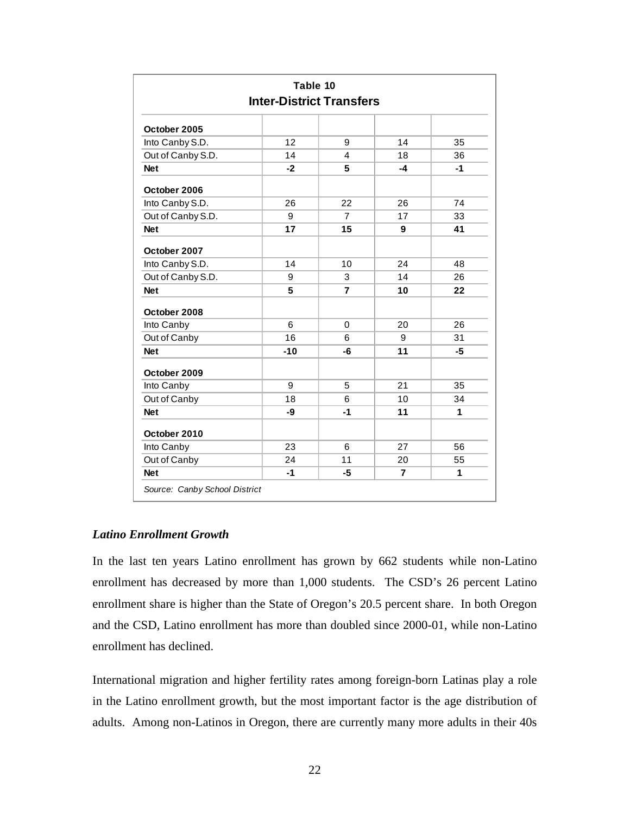| Table 10<br><b>Inter-District Transfers</b> |       |      |    |      |  |  |  |
|---------------------------------------------|-------|------|----|------|--|--|--|
|                                             |       |      |    |      |  |  |  |
| October 2005                                |       |      |    |      |  |  |  |
| Into Canby S.D.                             | 12    | 9    | 14 | 35   |  |  |  |
| Out of Canby S.D.                           | 14    | 4    | 18 | 36   |  |  |  |
| <b>Net</b>                                  | $-2$  | 5    | -4 | $-1$ |  |  |  |
| October 2006                                |       |      |    |      |  |  |  |
| Into Canby S.D.                             | 26    | 22   | 26 | 74   |  |  |  |
| Out of Canby S.D.                           | 9     | 7    | 17 | 33   |  |  |  |
| <b>Net</b>                                  | 17    | 15   | 9  | 41   |  |  |  |
| October 2007                                |       |      |    |      |  |  |  |
| Into Canby S.D.                             | 14    | 10   | 24 | 48   |  |  |  |
| Out of Canby S.D.                           | 9     | 3    | 14 | 26   |  |  |  |
| <b>Net</b>                                  | 5     | 7    | 10 | 22   |  |  |  |
| October 2008                                |       |      |    |      |  |  |  |
| Into Canby                                  | 6     | 0    | 20 | 26   |  |  |  |
| Out of Canby                                | 16    | 6    | 9  | 31   |  |  |  |
| <b>Net</b>                                  | $-10$ | -6   | 11 | -5   |  |  |  |
| October 2009                                |       |      |    |      |  |  |  |
| Into Canby                                  | 9     | 5    | 21 | 35   |  |  |  |
| Out of Canby                                | 18    | 6    | 10 | 34   |  |  |  |
| <b>Net</b>                                  | -9    | $-1$ | 11 | 1    |  |  |  |
| October 2010                                |       |      |    |      |  |  |  |
| Into Canby                                  | 23    | 6    | 27 | 56   |  |  |  |
| Out of Canby                                | 24    | 11   | 20 | 55   |  |  |  |
| <b>Net</b>                                  | $-1$  | -5   | 7  | 1    |  |  |  |

#### *Latino Enrollment Growth*

In the last ten years Latino enrollment has grown by 662 students while non-Latino enrollment has decreased by more than 1,000 students. The CSD's 26 percent Latino enrollment share is higher than the State of Oregon's 20.5 percent share. In both Oregon and the CSD, Latino enrollment has more than doubled since 2000-01, while non-Latino enrollment has declined.

International migration and higher fertility rates among foreign-born Latinas play a role in the Latino enrollment growth, but the most important factor is the age distribution of adults. Among non-Latinos in Oregon, there are currently many more adults in their 40s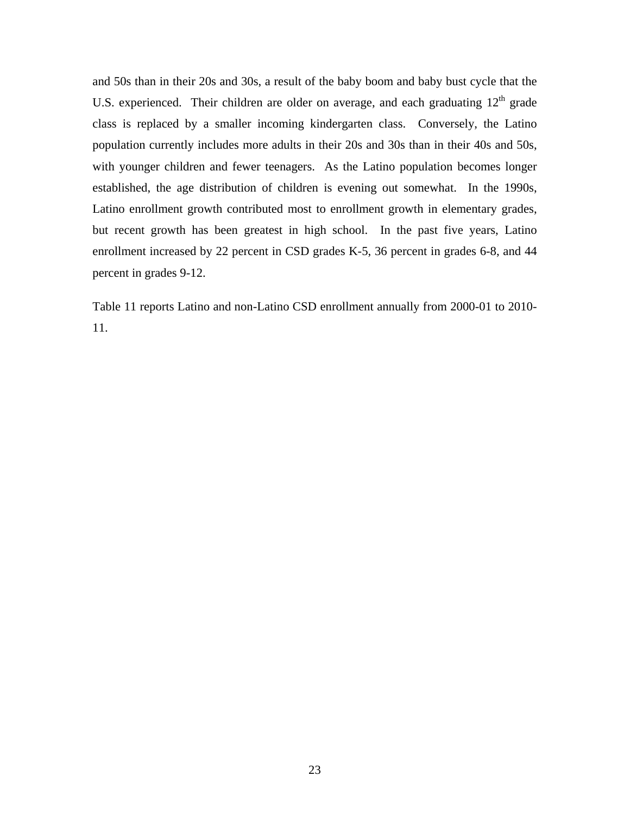and 50s than in their 20s and 30s, a result of the baby boom and baby bust cycle that the U.S. experienced. Their children are older on average, and each graduating  $12<sup>th</sup>$  grade class is replaced by a smaller incoming kindergarten class. Conversely, the Latino population currently includes more adults in their 20s and 30s than in their 40s and 50s, with younger children and fewer teenagers. As the Latino population becomes longer established, the age distribution of children is evening out somewhat. In the 1990s, Latino enrollment growth contributed most to enrollment growth in elementary grades, but recent growth has been greatest in high school. In the past five years, Latino enrollment increased by 22 percent in CSD grades K-5, 36 percent in grades 6-8, and 44 percent in grades 9-12.

Table 11 reports Latino and non-Latino CSD enrollment annually from 2000-01 to 2010- 11.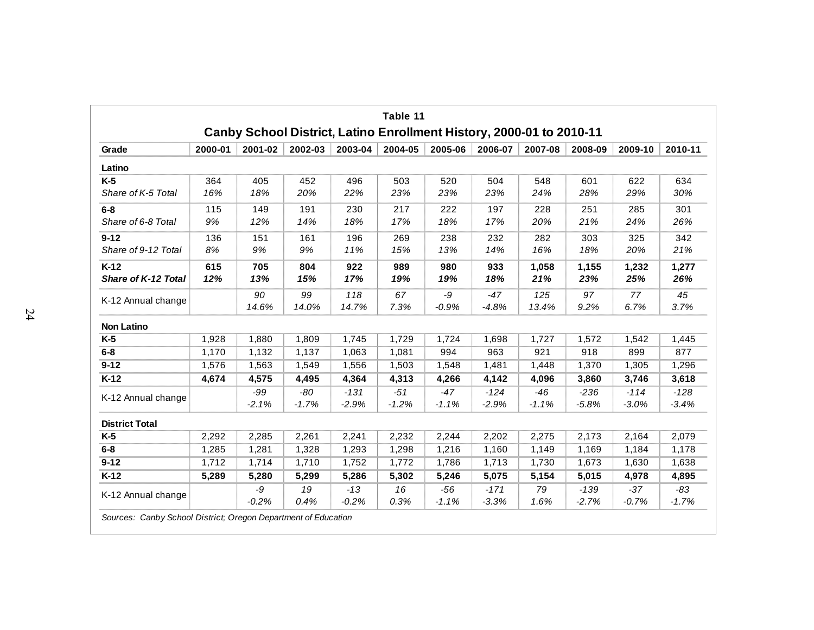|                                 |            |                  |                  |                   | Table 11<br>Canby School District, Latino Enrollment History, 2000-01 to 2010-11 |                  |                   |                  |                   |                   |                   |
|---------------------------------|------------|------------------|------------------|-------------------|----------------------------------------------------------------------------------|------------------|-------------------|------------------|-------------------|-------------------|-------------------|
| Grade                           | 2000-01    | 2001-02          | 2002-03          | 2003-04           | 2004-05                                                                          | 2005-06          | 2006-07           | 2007-08          | 2008-09           | 2009-10           | 2010-11           |
| Latino                          |            |                  |                  |                   |                                                                                  |                  |                   |                  |                   |                   |                   |
| $K-5$<br>Share of K-5 Total     | 364<br>16% | 405<br>18%       | 452<br>20%       | 496<br>22%        | 503<br>23%                                                                       | 520<br>23%       | 504<br>23%        | 548<br>24%       | 601<br>28%        | 622<br>29%        | 634<br>30%        |
| $6 - 8$<br>Share of 6-8 Total   | 115<br>9%  | 149<br>12%       | 191<br>14%       | 230<br>18%        | 217<br>17%                                                                       | 222<br>18%       | 197<br>17%        | 228<br>20%       | 251<br>21%        | 285<br>24%        | 301<br>26%        |
| $9 - 12$<br>Share of 9-12 Total | 136<br>8%  | 151<br>9%        | 161<br>9%        | 196<br>11%        | 269<br>15%                                                                       | 238<br>13%       | 232<br>14%        | 282<br>16%       | 303<br>18%        | 325<br>20%        | 342<br>21%        |
| $K-12$<br>Share of K-12 Total   | 615<br>12% | 705<br>13%       | 804<br>15%       | 922<br>17%        | 989<br>19%                                                                       | 980<br>19%       | 933<br>18%        | 1,058<br>21%     | 1,155<br>23%      | 1,232<br>25%      | 1,277<br>26%      |
| K-12 Annual change              |            | 90<br>14.6%      | 99<br>14.0%      | 118<br>14.7%      | 67<br>7.3%                                                                       | -9<br>$-0.9%$    | $-47$<br>$-4.8%$  | 125<br>13.4%     | 97<br>9.2%        | 77<br>6.7%        | 45<br>3.7%        |
| <b>Non Latino</b>               |            |                  |                  |                   |                                                                                  |                  |                   |                  |                   |                   |                   |
| $K-5$                           | 1,928      | 1,880            | 1,809            | 1,745             | 1,729                                                                            | 1,724            | 1,698             | 1,727            | 1,572             | 1,542             | 1,445             |
| $6 - 8$                         | 1,170      | 1,132            | 1.137            | 1,063             | 1,081                                                                            | 994              | 963               | 921              | 918               | 899               | 877               |
| $9 - 12$                        | 1,576      | 1,563            | 1,549            | 1,556             | 1,503                                                                            | 1,548            | 1,481             | 1,448            | 1,370             | 1,305             | 1,296             |
| $K-12$                          | 4,674      | 4,575            | 4,495            | 4,364             | 4,313                                                                            | 4,266            | 4,142             | 4,096            | 3,860             | 3,746             | 3,618             |
| K-12 Annual change              |            | $-99$<br>$-2.1%$ | $-80$<br>$-1.7%$ | $-131$<br>$-2.9%$ | $-51$<br>$-1.2%$                                                                 | $-47$<br>$-1.1%$ | $-124$<br>$-2.9%$ | $-46$<br>$-1.1%$ | $-236$<br>$-5.8%$ | $-114$<br>$-3.0%$ | $-128$<br>$-3.4%$ |
| <b>District Total</b>           |            |                  |                  |                   |                                                                                  |                  |                   |                  |                   |                   |                   |
| $K-5$                           | 2,292      | 2,285            | 2,261            | 2,241             | 2,232                                                                            | 2,244            | 2,202             | 2,275            | 2,173             | 2,164             | 2,079             |
| $6-8$                           | 1,285      | 1,281            | 1,328            | 1,293             | 1,298                                                                            | 1,216            | 1,160             | 1,149            | 1,169             | 1,184             | 1,178             |
| $9 - 12$                        | 1,712      | 1,714            | 1,710            | 1,752             | 1,772                                                                            | 1,786            | 1,713             | 1,730            | 1,673             | 1,630             | 1,638             |
| $K-12$                          | 5,289      | 5,280            | 5,299            | 5,286             | 5,302                                                                            | 5,246            | 5,075             | 5,154            | 5,015             | 4,978             | 4,895             |
| K-12 Annual change              |            | -9<br>$-0.2%$    | 19<br>0.4%       | $-13$<br>$-0.2%$  | 16<br>0.3%                                                                       | $-56$<br>$-1.1%$ | $-171$<br>$-3.3%$ | 79<br>1.6%       | $-139$<br>$-2.7%$ | $-37$<br>$-0.7%$  | $-83$<br>$-1.7%$  |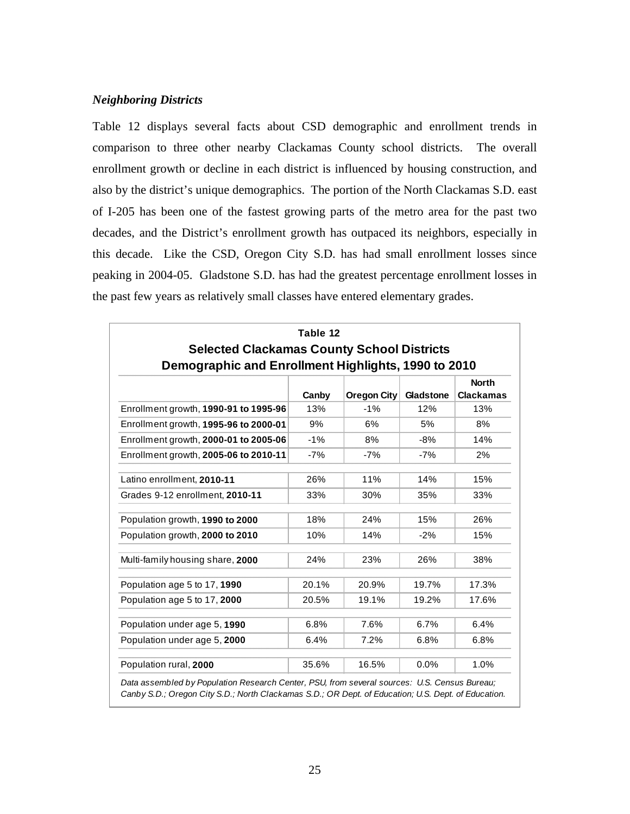#### *Neighboring Districts*

Table 12 displays several facts about CSD demographic and enrollment trends in comparison to three other nearby Clackamas County school districts. The overall enrollment growth or decline in each district is influenced by housing construction, and also by the district's unique demographics. The portion of the North Clackamas S.D. east of I-205 has been one of the fastest growing parts of the metro area for the past two decades, and the District's enrollment growth has outpaced its neighbors, especially in this decade. Like the CSD, Oregon City S.D. has had small enrollment losses since peaking in 2004-05. Gladstone S.D. has had the greatest percentage enrollment losses in the past few years as relatively small classes have entered elementary grades.

| <b>Selected Clackamas County School Districts</b>   | Table 12 |                    |           |                                  |
|-----------------------------------------------------|----------|--------------------|-----------|----------------------------------|
| Demographic and Enrollment Highlights, 1990 to 2010 | Canby    | <b>Oregon City</b> | Gladstone | <b>North</b><br><b>Clackamas</b> |
| Enrollment growth, 1990-91 to 1995-96               | 13%      | $-1%$              | 12%       | 13%                              |
| Enrollment growth, 1995-96 to 2000-01               | 9%       | 6%                 | 5%        | 8%                               |
| Enrollment growth, 2000-01 to 2005-06               | $-1%$    | 8%                 | $-8%$     | 14%                              |
| Enrollment growth, 2005-06 to 2010-11               | $-7%$    | $-7%$              | $-7%$     | 2%                               |
| Latino enrollment, 2010-11                          | 26%      | 11%                | 14%       | 15%                              |
| Grades 9-12 enrollment, 2010-11                     | 33%      | 30%                | 35%       | 33%                              |
| Population growth, 1990 to 2000                     | 18%      | 24%                | 15%       | 26%                              |
| Population growth, 2000 to 2010                     | 10%      | 14%                | $-2%$     | 15%                              |
| Multi-family housing share, 2000                    | 24%      | 23%                | 26%       | 38%                              |
| Population age 5 to 17, 1990                        | 20.1%    | 20.9%              | 19.7%     | 17.3%                            |
| Population age 5 to 17, 2000                        | 20.5%    | 19.1%              | 19.2%     | 17.6%                            |
| Population under age 5, 1990                        | 6.8%     | 7.6%               | 6.7%      | 6.4%                             |
| Population under age 5, 2000                        | 6.4%     | 7.2%               | 6.8%      | 6.8%                             |
| Population rural, 2000                              | 35.6%    | 16.5%              | $0.0\%$   | 1.0%                             |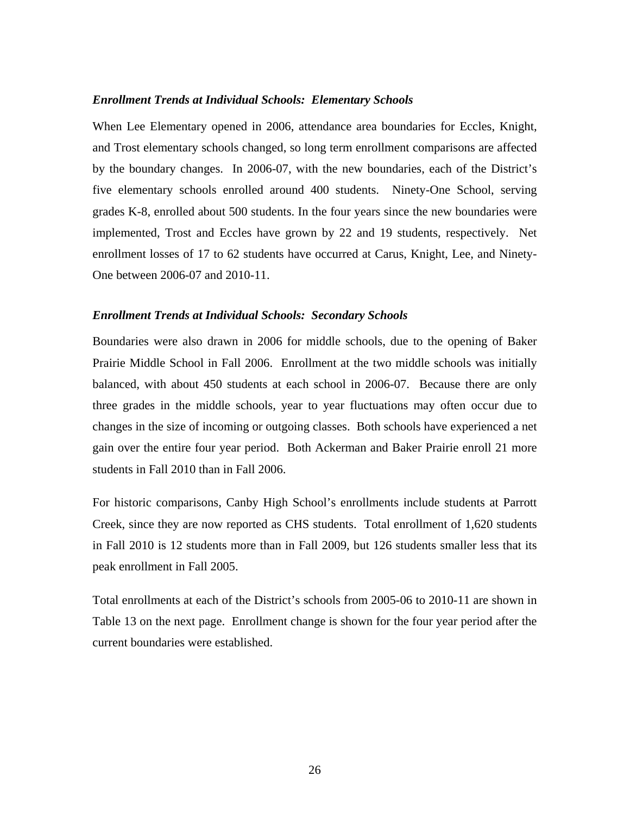#### *Enrollment Trends at Individual Schools: Elementary Schools*

When Lee Elementary opened in 2006, attendance area boundaries for Eccles, Knight, and Trost elementary schools changed, so long term enrollment comparisons are affected by the boundary changes. In 2006-07, with the new boundaries, each of the District's five elementary schools enrolled around 400 students. Ninety-One School, serving grades K-8, enrolled about 500 students. In the four years since the new boundaries were implemented, Trost and Eccles have grown by 22 and 19 students, respectively. Net enrollment losses of 17 to 62 students have occurred at Carus, Knight, Lee, and Ninety-One between 2006-07 and 2010-11.

#### *Enrollment Trends at Individual Schools: Secondary Schools*

Boundaries were also drawn in 2006 for middle schools, due to the opening of Baker Prairie Middle School in Fall 2006. Enrollment at the two middle schools was initially balanced, with about 450 students at each school in 2006-07. Because there are only three grades in the middle schools, year to year fluctuations may often occur due to changes in the size of incoming or outgoing classes. Both schools have experienced a net gain over the entire four year period. Both Ackerman and Baker Prairie enroll 21 more students in Fall 2010 than in Fall 2006.

For historic comparisons, Canby High School's enrollments include students at Parrott Creek, since they are now reported as CHS students. Total enrollment of 1,620 students in Fall 2010 is 12 students more than in Fall 2009, but 126 students smaller less that its peak enrollment in Fall 2005.

Total enrollments at each of the District's schools from 2005-06 to 2010-11 are shown in Table 13 on the next page. Enrollment change is shown for the four year period after the current boundaries were established.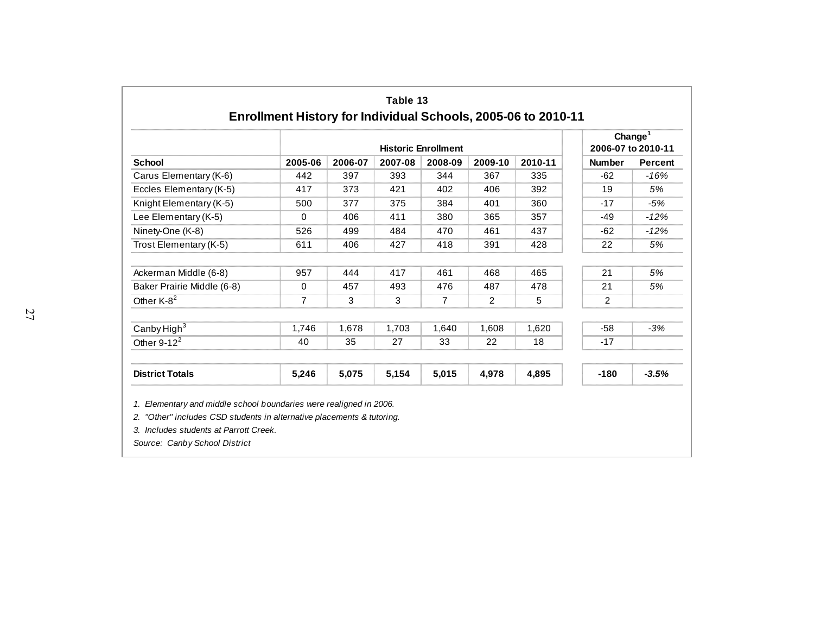|                            |                |         | Change $1$ |                            |         |         |                |                    |
|----------------------------|----------------|---------|------------|----------------------------|---------|---------|----------------|--------------------|
|                            |                |         |            | <b>Historic Enrollment</b> |         |         |                | 2006-07 to 2010-11 |
| <b>School</b>              | 2005-06        | 2006-07 | 2007-08    | 2008-09                    | 2009-10 | 2010-11 | <b>Number</b>  | <b>Percent</b>     |
| Carus Elementary (K-6)     | 442            | 397     | 393        | 344                        | 367     | 335     | $-62$          | $-16%$             |
| Eccles Elementary (K-5)    | 417            | 373     | 421        | 402                        | 406     | 392     | 19             | 5%                 |
| Knight Elementary (K-5)    | 500            | 377     | 375        | 384                        | 401     | 360     | $-17$          | $-5%$              |
| Lee Elementary (K-5)       | 0              | 406     | 411        | 380                        | 365     | 357     | $-49$          | $-12%$             |
| Ninety-One (K-8)           | 526            | 499     | 484        | 470                        | 461     | 437     | $-62$          | $-12%$             |
| Trost Elementary (K-5)     | 611            | 406     | 427        | 418                        | 391     | 428     | 22             | 5%                 |
| Ackerman Middle (6-8)      | 957            | 444     | 417        | 461                        | 468     | 465     | 21             | 5%                 |
| Baker Prairie Middle (6-8) | 0              | 457     | 493        | 476                        | 487     | 478     | 21             | 5%                 |
| Other K-8 <sup>2</sup>     | $\overline{7}$ | 3       | 3          | 7                          | 2       | 5       | $\overline{2}$ |                    |
| Canby High <sup>3</sup>    | 1,746          | 1,678   | 1,703      | 1,640                      | 1,608   | 1,620   | $-58$          | $-3%$              |
| Other $9-12^2$             | 40             | 35      | 27         | 33                         | 22      | 18      | $-17$          |                    |
| <b>District Totals</b>     | 5,246          | 5,075   | 5,154      | 5,015                      | 4,978   | 4,895   | $-180$         | $-3.5%$            |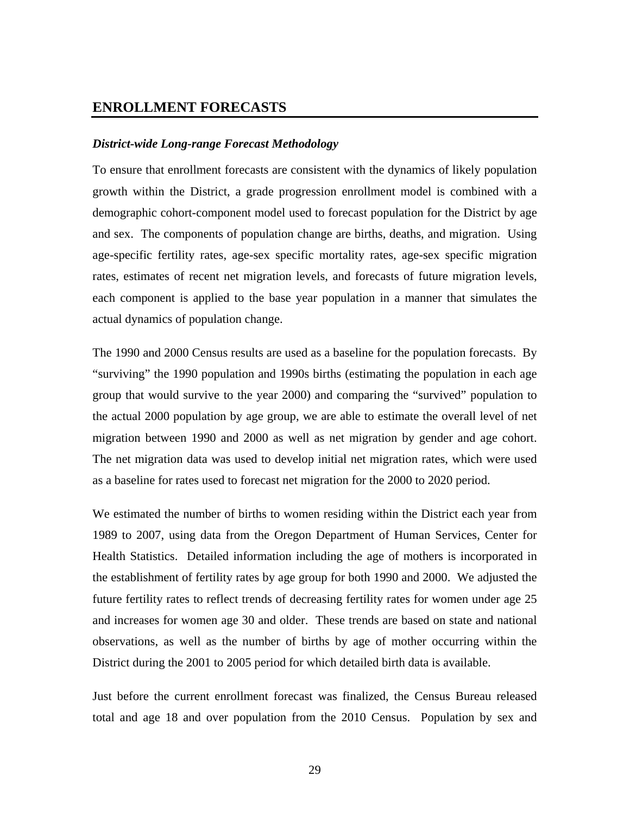#### **ENROLLMENT FORECASTS**

#### *District-wide Long-range Forecast Methodology*

To ensure that enrollment forecasts are consistent with the dynamics of likely population growth within the District, a grade progression enrollment model is combined with a demographic cohort-component model used to forecast population for the District by age and sex. The components of population change are births, deaths, and migration. Using age-specific fertility rates, age-sex specific mortality rates, age-sex specific migration rates, estimates of recent net migration levels, and forecasts of future migration levels, each component is applied to the base year population in a manner that simulates the actual dynamics of population change.

The 1990 and 2000 Census results are used as a baseline for the population forecasts. By "surviving" the 1990 population and 1990s births (estimating the population in each age group that would survive to the year 2000) and comparing the "survived" population to the actual 2000 population by age group, we are able to estimate the overall level of net migration between 1990 and 2000 as well as net migration by gender and age cohort. The net migration data was used to develop initial net migration rates, which were used as a baseline for rates used to forecast net migration for the 2000 to 2020 period.

We estimated the number of births to women residing within the District each year from 1989 to 2007, using data from the Oregon Department of Human Services, Center for Health Statistics. Detailed information including the age of mothers is incorporated in the establishment of fertility rates by age group for both 1990 and 2000. We adjusted the future fertility rates to reflect trends of decreasing fertility rates for women under age 25 and increases for women age 30 and older. These trends are based on state and national observations, as well as the number of births by age of mother occurring within the District during the 2001 to 2005 period for which detailed birth data is available.

Just before the current enrollment forecast was finalized, the Census Bureau released total and age 18 and over population from the 2010 Census. Population by sex and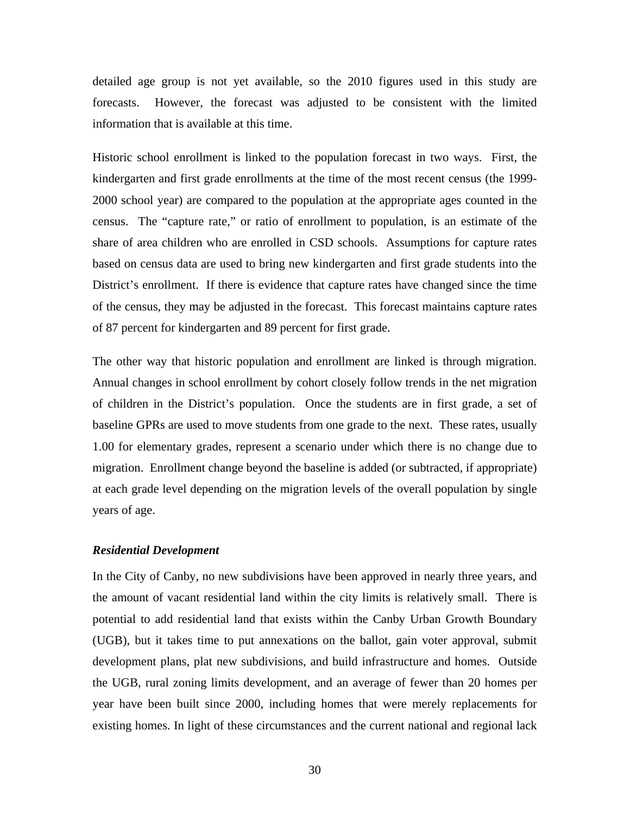detailed age group is not yet available, so the 2010 figures used in this study are forecasts. However, the forecast was adjusted to be consistent with the limited information that is available at this time.

Historic school enrollment is linked to the population forecast in two ways. First, the kindergarten and first grade enrollments at the time of the most recent census (the 1999- 2000 school year) are compared to the population at the appropriate ages counted in the census. The "capture rate," or ratio of enrollment to population, is an estimate of the share of area children who are enrolled in CSD schools. Assumptions for capture rates based on census data are used to bring new kindergarten and first grade students into the District's enrollment. If there is evidence that capture rates have changed since the time of the census, they may be adjusted in the forecast. This forecast maintains capture rates of 87 percent for kindergarten and 89 percent for first grade.

The other way that historic population and enrollment are linked is through migration. Annual changes in school enrollment by cohort closely follow trends in the net migration of children in the District's population. Once the students are in first grade, a set of baseline GPRs are used to move students from one grade to the next. These rates, usually 1.00 for elementary grades, represent a scenario under which there is no change due to migration. Enrollment change beyond the baseline is added (or subtracted, if appropriate) at each grade level depending on the migration levels of the overall population by single years of age.

#### *Residential Development*

In the City of Canby, no new subdivisions have been approved in nearly three years, and the amount of vacant residential land within the city limits is relatively small. There is potential to add residential land that exists within the Canby Urban Growth Boundary (UGB), but it takes time to put annexations on the ballot, gain voter approval, submit development plans, plat new subdivisions, and build infrastructure and homes. Outside the UGB, rural zoning limits development, and an average of fewer than 20 homes per year have been built since 2000, including homes that were merely replacements for existing homes. In light of these circumstances and the current national and regional lack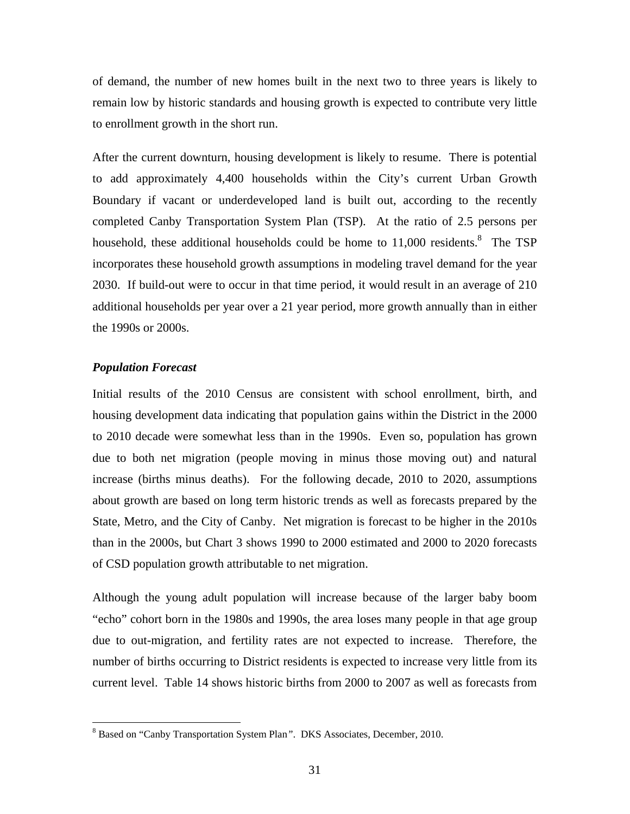of demand, the number of new homes built in the next two to three years is likely to remain low by historic standards and housing growth is expected to contribute very little to enrollment growth in the short run.

After the current downturn, housing development is likely to resume. There is potential to add approximately 4,400 households within the City's current Urban Growth Boundary if vacant or underdeveloped land is built out, according to the recently completed Canby Transportation System Plan (TSP). At the ratio of 2.5 persons per household, these additional households could be home to  $11,000$  residents.<sup>8</sup> The TSP incorporates these household growth assumptions in modeling travel demand for the year 2030. If build-out were to occur in that time period, it would result in an average of 210 additional households per year over a 21 year period, more growth annually than in either the 1990s or 2000s.

#### *Population Forecast*

<u>.</u>

Initial results of the 2010 Census are consistent with school enrollment, birth, and housing development data indicating that population gains within the District in the 2000 to 2010 decade were somewhat less than in the 1990s. Even so, population has grown due to both net migration (people moving in minus those moving out) and natural increase (births minus deaths). For the following decade, 2010 to 2020, assumptions about growth are based on long term historic trends as well as forecasts prepared by the State, Metro, and the City of Canby. Net migration is forecast to be higher in the 2010s than in the 2000s, but Chart 3 shows 1990 to 2000 estimated and 2000 to 2020 forecasts of CSD population growth attributable to net migration.

Although the young adult population will increase because of the larger baby boom "echo" cohort born in the 1980s and 1990s, the area loses many people in that age group due to out-migration, and fertility rates are not expected to increase. Therefore, the number of births occurring to District residents is expected to increase very little from its current level. Table 14 shows historic births from 2000 to 2007 as well as forecasts from

<sup>8</sup> Based on "Canby Transportation System Plan*"*. DKS Associates, December, 2010.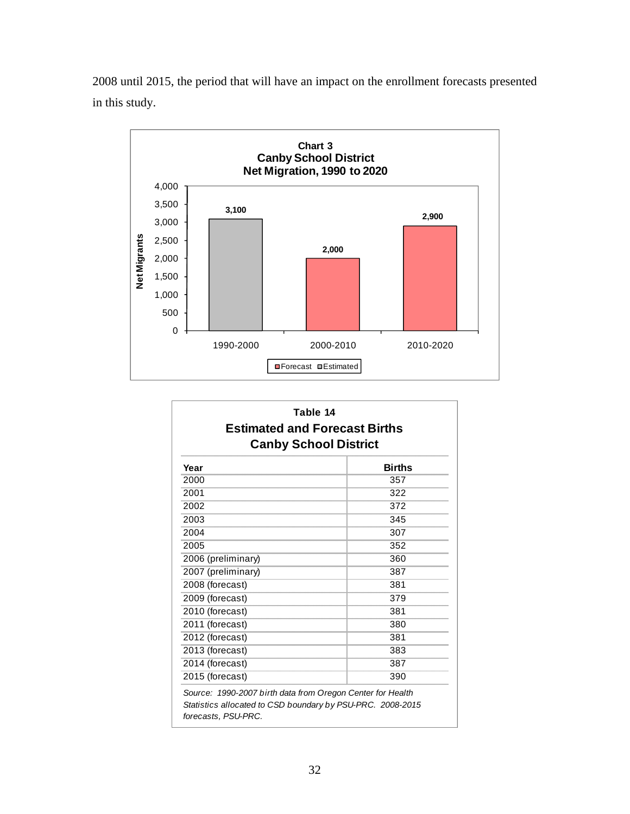2008 until 2015, the period that will have an impact on the enrollment forecasts presented in this study.



| <b>Estimated and Forecast Births</b><br><b>Canby School District</b> |               |  |  |  |  |  |
|----------------------------------------------------------------------|---------------|--|--|--|--|--|
| Year                                                                 | <b>Births</b> |  |  |  |  |  |
| 2000                                                                 | 357           |  |  |  |  |  |
| 2001                                                                 | 322           |  |  |  |  |  |
| 2002                                                                 | 372           |  |  |  |  |  |
| 2003                                                                 | 345           |  |  |  |  |  |
| 2004                                                                 | 307           |  |  |  |  |  |
| 2005                                                                 | 352           |  |  |  |  |  |
| 2006 (preliminary)                                                   | 360           |  |  |  |  |  |
| 2007 (preliminary)                                                   | 387           |  |  |  |  |  |
| 2008 (forecast)                                                      | 381           |  |  |  |  |  |
| 2009 (forecast)                                                      | 379           |  |  |  |  |  |
| 2010 (forecast)                                                      | 381           |  |  |  |  |  |
| 2011 (forecast)                                                      | 380           |  |  |  |  |  |
| 2012 (forecast)                                                      | 381           |  |  |  |  |  |
| 2013 (forecast)                                                      | 383           |  |  |  |  |  |
| 2014 (forecast)                                                      | 387           |  |  |  |  |  |
| 2015 (forecast)                                                      | 390           |  |  |  |  |  |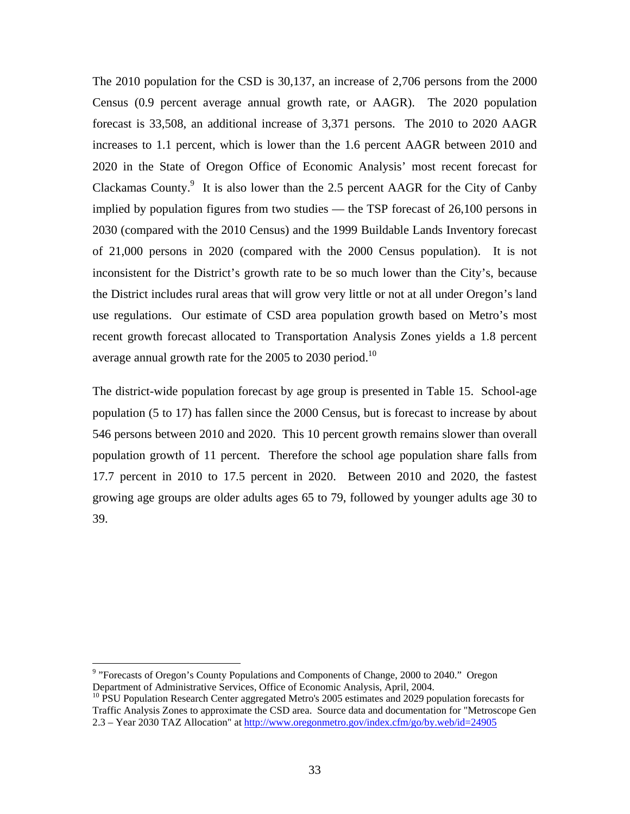The 2010 population for the CSD is 30,137, an increase of 2,706 persons from the 2000 Census (0.9 percent average annual growth rate, or AAGR). The 2020 population forecast is 33,508, an additional increase of 3,371 persons. The 2010 to 2020 AAGR increases to 1.1 percent, which is lower than the 1.6 percent AAGR between 2010 and 2020 in the State of Oregon Office of Economic Analysis' most recent forecast for Clackamas County. $9$  It is also lower than the 2.5 percent AAGR for the City of Canby implied by population figures from two studies — the TSP forecast of 26,100 persons in 2030 (compared with the 2010 Census) and the 1999 Buildable Lands Inventory forecast of 21,000 persons in 2020 (compared with the 2000 Census population). It is not inconsistent for the District's growth rate to be so much lower than the City's, because the District includes rural areas that will grow very little or not at all under Oregon's land use regulations. Our estimate of CSD area population growth based on Metro's most recent growth forecast allocated to Transportation Analysis Zones yields a 1.8 percent average annual growth rate for the 2005 to 2030 period.<sup>10</sup>

The district-wide population forecast by age group is presented in Table 15. School-age population (5 to 17) has fallen since the 2000 Census, but is forecast to increase by about 546 persons between 2010 and 2020. This 10 percent growth remains slower than overall population growth of 11 percent. Therefore the school age population share falls from 17.7 percent in 2010 to 17.5 percent in 2020. Between 2010 and 2020, the fastest growing age groups are older adults ages 65 to 79, followed by younger adults age 30 to 39.

 $\overline{a}$ 

<sup>&</sup>lt;sup>9</sup> "Forecasts of Oregon's County Populations and Components of Change, 2000 to 2040." Oregon Department of Administrative Services, Office of Economic Analysis, April, 2004.

<sup>&</sup>lt;sup>10</sup> PSU Population Research Center aggregated Metro's 2005 estimates and 2029 population forecasts for Traffic Analysis Zones to approximate the CSD area. Source data and documentation for "Metroscope Gen 2.3 – Year 2030 TAZ Allocation" at http://www.oregonmetro.gov/index.cfm/go/by.web/id=24905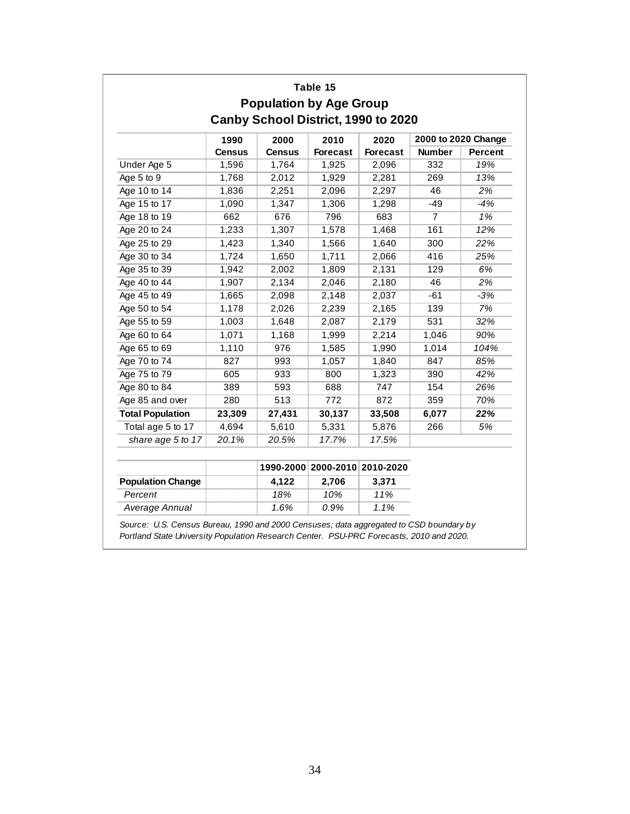|                         |               |               | Table 15<br><b>Population by Age Group</b> |                 |                     |                |
|-------------------------|---------------|---------------|--------------------------------------------|-----------------|---------------------|----------------|
|                         |               |               | Canby School District, 1990 to 2020        |                 |                     |                |
|                         | 1990          | 2000          | 2010                                       | 2020            | 2000 to 2020 Change |                |
|                         | <b>Census</b> | <b>Census</b> | <b>Forecast</b>                            | <b>Forecast</b> | <b>Number</b>       | <b>Percent</b> |
| Under Age 5             | 1,596         | 1,764         | 1,925                                      | 2,096           | 332                 | 19%            |
| Age 5 to 9              | 1,768         | 2,012         | 1,929                                      | 2,281           | 269                 | 13%            |
| Age 10 to 14            | 1,836         | 2,251         | 2,096                                      | 2,297           | 46                  | 2%             |
| Age 15 to 17            | 1,090         | 1,347         | 1,306                                      | 1,298           | $-49$               | -4%            |
| Age 18 to 19            | 662           | 676           | 796                                        | 683             | $\overline{7}$      | 1%             |
| Age 20 to 24            | 1,233         | 1,307         | 1,578                                      | 1,468           | 161                 | 12%            |
| Age 25 to 29            | 1,423         | 1,340         | 1,566                                      | 1,640           | 300                 | 22%            |
| Age 30 to 34            | 1,724         | 1,650         | 1,711                                      | 2,066           | 416                 | 25%            |
| Age 35 to 39            | 1,942         | 2,002         | 1,809                                      | 2,131           | 129                 | 6%             |
| Age 40 to 44            | 1,907         | 2,134         | 2,046                                      | 2,180           | 46                  | 2%             |
| Age 45 to 49            | 1,665         | 2,098         | 2,148                                      | 2,037           | $-61$               | $-3%$          |
| Age 50 to 54            | 1,178         | 2,026         | 2,239                                      | 2,165           | 139                 | 7%             |
| Age 55 to 59            | 1,003         | 1,648         | 2,087                                      | 2,179           | 531                 | 32%            |
| Age 60 to 64            | 1,071         | 1,168         | 1,999                                      | 2,214           | 1,046               | 90%            |
| Age 65 to 69            | 1,110         | 976           | 1,585                                      | 1,990           | 1,014               | 104%           |
| Age 70 to 74            | 827           | 993           | 1,057                                      | 1,840           | 847                 | 85%            |
| Age 75 to 79            | 605           | 933           | 800                                        | 1,323           | 390                 | 42%            |
| Age 80 to 84            | 389           | 593           | 688                                        | 747             | 154                 | 26%            |
| Age 85 and over         | 280           | 513           | 772                                        | 872             | 359                 | 70%            |
| <b>Total Population</b> | 23,309        | 27,431        | 30,137                                     | 33,508          | 6,077               | 22%            |
| Total age 5 to 17       | 4,694         | 5,610         | 5,331                                      | 5,876           | 266                 | 5%             |
| share age 5 to 17       | 20.1%         | 20.5%         | 17.7%                                      | 17.5%           |                     |                |

|                          |       | 1990-2000 2000-2010 2010-2020 |       |
|--------------------------|-------|-------------------------------|-------|
| <b>Population Change</b> | 4.122 | 2.706                         | 3.371 |
| Percent                  | 18%   | 10%                           | 11%   |
| Average Annual           | 1.6%  | 0.9%                          | 1.1%  |

*Source: U.S. Census Bureau, 1990 and 2000 Censuses; data aggregated to CSD boundary by Portland State University Population Research Center. PSU-PRC Forecasts, 2010 and 2020.*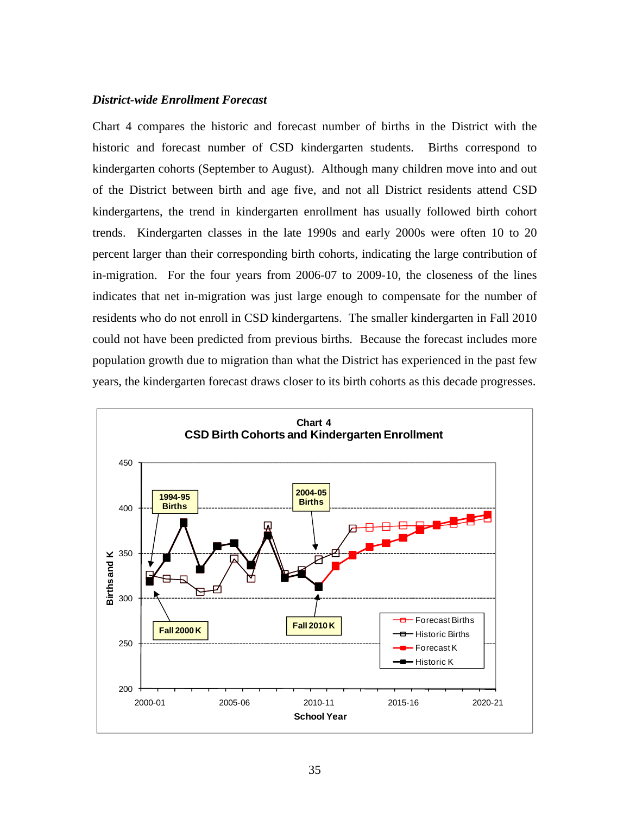#### *District-wide Enrollment Forecast*

Chart 4 compares the historic and forecast number of births in the District with the historic and forecast number of CSD kindergarten students. Births correspond to kindergarten cohorts (September to August). Although many children move into and out of the District between birth and age five, and not all District residents attend CSD kindergartens, the trend in kindergarten enrollment has usually followed birth cohort trends. Kindergarten classes in the late 1990s and early 2000s were often 10 to 20 percent larger than their corresponding birth cohorts, indicating the large contribution of in-migration. For the four years from 2006-07 to 2009-10, the closeness of the lines indicates that net in-migration was just large enough to compensate for the number of residents who do not enroll in CSD kindergartens. The smaller kindergarten in Fall 2010 could not have been predicted from previous births. Because the forecast includes more population growth due to migration than what the District has experienced in the past few years, the kindergarten forecast draws closer to its birth cohorts as this decade progresses.

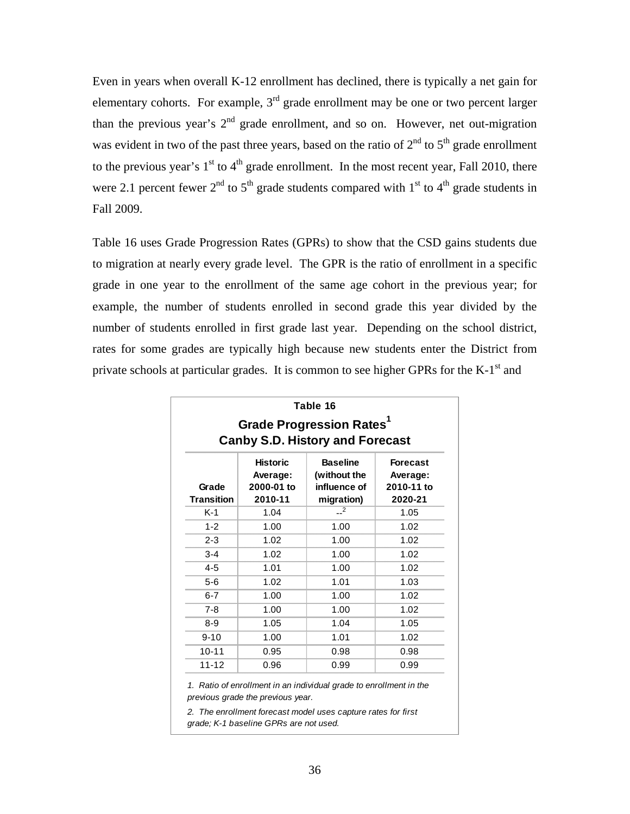Even in years when overall K-12 enrollment has declined, there is typically a net gain for elementary cohorts. For example,  $3<sup>rd</sup>$  grade enrollment may be one or two percent larger than the previous year's  $2<sup>nd</sup>$  grade enrollment, and so on. However, net out-migration was evident in two of the past three years, based on the ratio of  $2<sup>nd</sup>$  to  $5<sup>th</sup>$  grade enrollment to the previous year's  $1<sup>st</sup>$  to  $4<sup>th</sup>$  grade enrollment. In the most recent year, Fall 2010, there were 2.1 percent fewer  $2<sup>nd</sup>$  to  $5<sup>th</sup>$  grade students compared with  $1<sup>st</sup>$  to  $4<sup>th</sup>$  grade students in Fall 2009.

Table 16 uses Grade Progression Rates (GPRs) to show that the CSD gains students due to migration at nearly every grade level. The GPR is the ratio of enrollment in a specific grade in one year to the enrollment of the same age cohort in the previous year; for example, the number of students enrolled in second grade this year divided by the number of students enrolled in first grade last year. Depending on the school district, rates for some grades are typically high because new students enter the District from private schools at particular grades. It is common to see higher GPRs for the  $K-1<sup>st</sup>$  and

|                            |                                                      | Table 16<br><b>Grade Progression Rates1</b><br><b>Canby S.D. History and Forecast</b> |                                                      |
|----------------------------|------------------------------------------------------|---------------------------------------------------------------------------------------|------------------------------------------------------|
| Grade<br><b>Transition</b> | <b>Historic</b><br>Average:<br>2000-01 to<br>2010-11 | <b>Baseline</b><br>(without the<br>influence of<br>migration)                         | <b>Forecast</b><br>Average:<br>2010-11 to<br>2020-21 |
| K-1                        | 1.04                                                 | $-2$                                                                                  | 1.05                                                 |
| $1 - 2$                    | 1.00                                                 | 1.00                                                                                  | 1.02                                                 |
| $2 - 3$                    | 1.02                                                 | 1.00                                                                                  | 1.02                                                 |
| $3 - 4$                    | 1.02                                                 | 1.00                                                                                  | 1.02                                                 |
| $4 - 5$                    | 1.01                                                 | 1.00                                                                                  | 1.02                                                 |
| $5-6$                      | 1.02                                                 | 1.01                                                                                  | 1.03                                                 |
| $6 - 7$                    | 1.00                                                 | 1.00                                                                                  | 1.02                                                 |
| $7 - 8$                    | 1.00                                                 | 1.00                                                                                  | 1.02                                                 |
| $8 - 9$                    | 1.05                                                 | 1.04                                                                                  | 1.05                                                 |
| $9 - 10$                   | 1.00                                                 | 1.01                                                                                  | 1.02                                                 |
| $10 - 11$                  | 0.95                                                 | 0.98                                                                                  | 0.98                                                 |
| $11 - 12$                  | 0.96                                                 | 0.99                                                                                  | 0.99                                                 |

*previous grade the previous year.*

*2. The enrollment forecast model uses capture rates for first grade; K-1 baseline GPRs are not used.*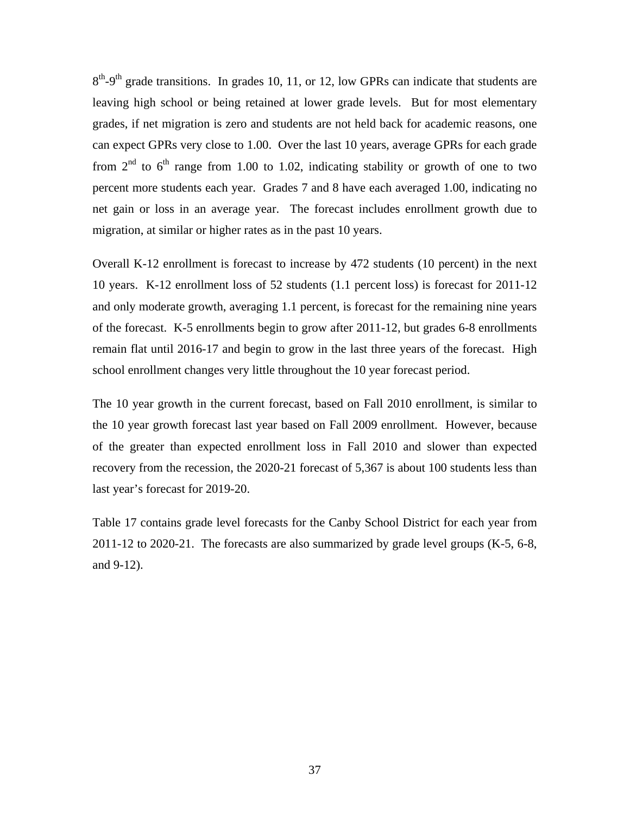$8<sup>th</sup>$ -9<sup>th</sup> grade transitions. In grades 10, 11, or 12, low GPRs can indicate that students are leaving high school or being retained at lower grade levels. But for most elementary grades, if net migration is zero and students are not held back for academic reasons, one can expect GPRs very close to 1.00. Over the last 10 years, average GPRs for each grade from  $2<sup>nd</sup>$  to  $6<sup>th</sup>$  range from 1.00 to 1.02, indicating stability or growth of one to two percent more students each year. Grades 7 and 8 have each averaged 1.00, indicating no net gain or loss in an average year. The forecast includes enrollment growth due to migration, at similar or higher rates as in the past 10 years.

Overall K-12 enrollment is forecast to increase by 472 students (10 percent) in the next 10 years. K-12 enrollment loss of 52 students (1.1 percent loss) is forecast for 2011-12 and only moderate growth, averaging 1.1 percent, is forecast for the remaining nine years of the forecast. K-5 enrollments begin to grow after 2011-12, but grades 6-8 enrollments remain flat until 2016-17 and begin to grow in the last three years of the forecast. High school enrollment changes very little throughout the 10 year forecast period.

The 10 year growth in the current forecast, based on Fall 2010 enrollment, is similar to the 10 year growth forecast last year based on Fall 2009 enrollment. However, because of the greater than expected enrollment loss in Fall 2010 and slower than expected recovery from the recession, the 2020-21 forecast of 5,367 is about 100 students less than last year's forecast for 2019-20.

Table 17 contains grade level forecasts for the Canby School District for each year from 2011-12 to 2020-21. The forecasts are also summarized by grade level groups (K-5, 6-8, and 9-12).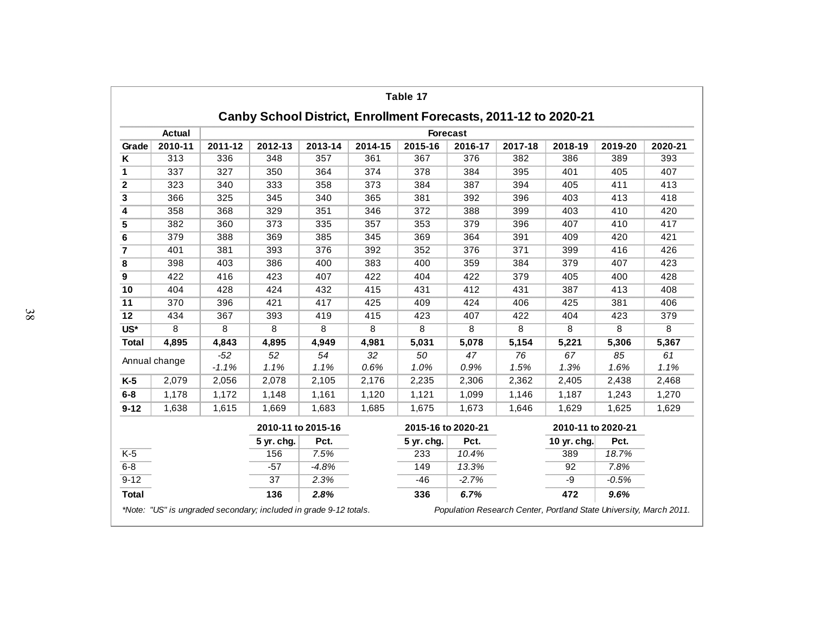|                            |               |         |                    |         |         | Table 17                                                        |                 |         |                    |         |         |
|----------------------------|---------------|---------|--------------------|---------|---------|-----------------------------------------------------------------|-----------------|---------|--------------------|---------|---------|
|                            |               |         |                    |         |         | Canby School District, Enrollment Forecasts, 2011-12 to 2020-21 |                 |         |                    |         |         |
|                            | Actual        |         |                    |         |         |                                                                 | <b>Forecast</b> |         |                    |         |         |
| Grade                      | 2010-11       | 2011-12 | 2012-13            | 2013-14 | 2014-15 | 2015-16                                                         | 2016-17         | 2017-18 | 2018-19            | 2019-20 | 2020-21 |
| Κ                          | 313           | 336     | 348                | 357     | 361     | 367                                                             | 376             | 382     | 386                | 389     | 393     |
| 1                          | 337           | 327     | 350                | 364     | 374     | 378                                                             | 384             | 395     | 401                | 405     | 407     |
| $\mathbf 2$                | 323           | 340     | 333                | 358     | 373     | 384                                                             | 387             | 394     | 405                | 411     | 413     |
| 3                          | 366           | 325     | 345                | 340     | 365     | 381                                                             | 392             | 396     | 403                | 413     | 418     |
| 4                          | 358           | 368     | 329                | 351     | 346     | 372                                                             | 388             | 399     | 403                | 410     | 420     |
| 5                          | 382           | 360     | 373                | 335     | 357     | 353                                                             | 379             | 396     | 407                | 410     | 417     |
| 6                          | 379           | 388     | 369                | 385     | 345     | 369                                                             | 364             | 391     | 409                | 420     | 421     |
| $\overline{7}$             | 401           | 381     | 393                | 376     | 392     | 352                                                             | 376             | 371     | 399                | 416     | 426     |
| 8                          | 398           | 403     | 386                | 400     | 383     | 400                                                             | 359             | 384     | 379                | 407     | 423     |
| $\boldsymbol{9}$           | 422           | 416     | 423                | 407     | 422     | 404                                                             | 422             | 379     | 405                | 400     | 428     |
| 10                         | 404           | 428     | 424                | 432     | 415     | 431                                                             | 412             | 431     | 387                | 413     | 408     |
| 11                         | 370           | 396     | 421                | 417     | 425     | 409                                                             | 424             | 406     | 425                | 381     | 406     |
| 12                         | 434           | 367     | 393                | 419     | 415     | 423                                                             | 407             | 422     | 404                | 423     | 379     |
| $\overline{\mathsf{US}^*}$ | 8             | 8       | 8                  | 8       | 8       | 8                                                               | 8               | 8       | 8                  | 8       | 8       |
| <b>Total</b>               | 4,895         | 4,843   | 4,895              | 4,949   | 4,981   | 5,031                                                           | 5,078           | 5,154   | 5,221              | 5,306   | 5,367   |
|                            | Annual change | $-52$   | 52                 | 54      | 32      | 50                                                              | 47              | 76      | 67                 | 85      | 61      |
|                            |               | $-1.1%$ | 1.1%               | 1.1%    | 0.6%    | 1.0%                                                            | 0.9%            | 1.5%    | 1.3%               | 1.6%    | 1.1%    |
| $K-5$                      | 2,079         | 2,056   | 2,078              | 2,105   | 2,176   | 2,235                                                           | 2,306           | 2,362   | 2,405              | 2,438   | 2,468   |
| $6 - 8$                    | 1,178         | 1,172   | 1,148              | 1,161   | 1,120   | 1,121                                                           | 1,099           | 1,146   | 1,187              | 1,243   | 1,270   |
| $9 - 12$                   | 1,638         | 1,615   | 1,669              | 1,683   | 1,685   | 1,675                                                           | 1,673           | 1,646   | 1,629              | 1,625   | 1,629   |
|                            |               |         | 2010-11 to 2015-16 |         |         | 2015-16 to 2020-21                                              |                 |         | 2010-11 to 2020-21 |         |         |
|                            |               |         | 5 yr. chg.         | Pct.    |         | 5 yr. chg.                                                      | Pct.            |         | 10 yr. chg.        | Pct.    |         |
| $K-5$                      |               |         | 156                | 7.5%    |         | 233                                                             | 10.4%           |         | 389                | 18.7%   |         |
| $6 - 8$                    |               |         | $-57$              | $-4.8%$ |         | 149                                                             | 13.3%           |         | 92                 | 7.8%    |         |
| $9 - 12$                   |               |         | 37                 | 2.3%    |         | $-46$                                                           | $-2.7%$         |         | -9                 | $-0.5%$ |         |
| <b>Total</b>               |               |         | 136                | 2.8%    |         | 336                                                             | 6.7%            |         | 472                | 9.6%    |         |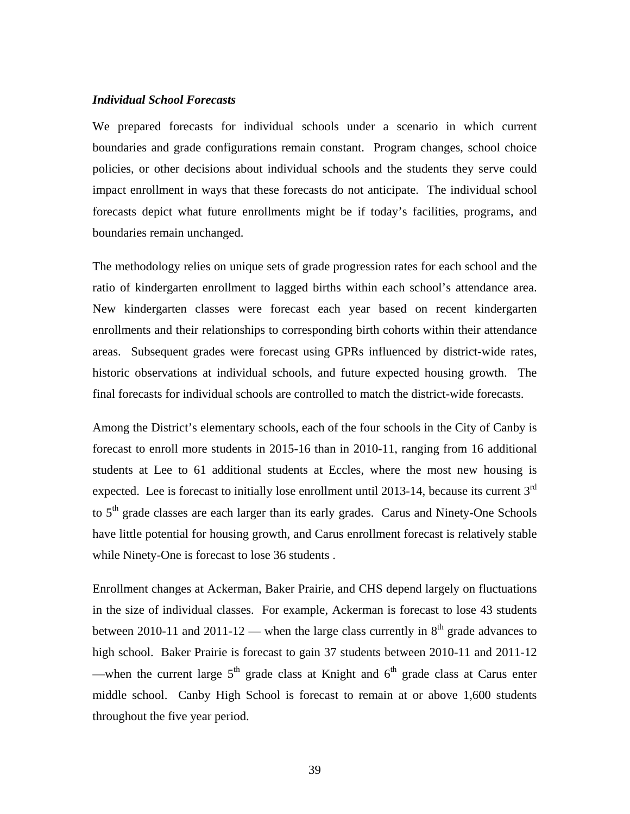#### *Individual School Forecasts*

We prepared forecasts for individual schools under a scenario in which current boundaries and grade configurations remain constant. Program changes, school choice policies, or other decisions about individual schools and the students they serve could impact enrollment in ways that these forecasts do not anticipate. The individual school forecasts depict what future enrollments might be if today's facilities, programs, and boundaries remain unchanged.

The methodology relies on unique sets of grade progression rates for each school and the ratio of kindergarten enrollment to lagged births within each school's attendance area. New kindergarten classes were forecast each year based on recent kindergarten enrollments and their relationships to corresponding birth cohorts within their attendance areas. Subsequent grades were forecast using GPRs influenced by district-wide rates, historic observations at individual schools, and future expected housing growth. The final forecasts for individual schools are controlled to match the district-wide forecasts.

Among the District's elementary schools, each of the four schools in the City of Canby is forecast to enroll more students in 2015-16 than in 2010-11, ranging from 16 additional students at Lee to 61 additional students at Eccles, where the most new housing is expected. Lee is forecast to initially lose enrollment until 2013-14, because its current 3<sup>rd</sup> to  $5<sup>th</sup>$  grade classes are each larger than its early grades. Carus and Ninety-One Schools have little potential for housing growth, and Carus enrollment forecast is relatively stable while Ninety-One is forecast to lose 36 students .

Enrollment changes at Ackerman, Baker Prairie, and CHS depend largely on fluctuations in the size of individual classes. For example, Ackerman is forecast to lose 43 students between 2010-11 and 2011-12 — when the large class currently in  $8<sup>th</sup>$  grade advances to high school. Baker Prairie is forecast to gain 37 students between 2010-11 and 2011-12 —when the current large  $5<sup>th</sup>$  grade class at Knight and  $6<sup>th</sup>$  grade class at Carus enter middle school. Canby High School is forecast to remain at or above 1,600 students throughout the five year period.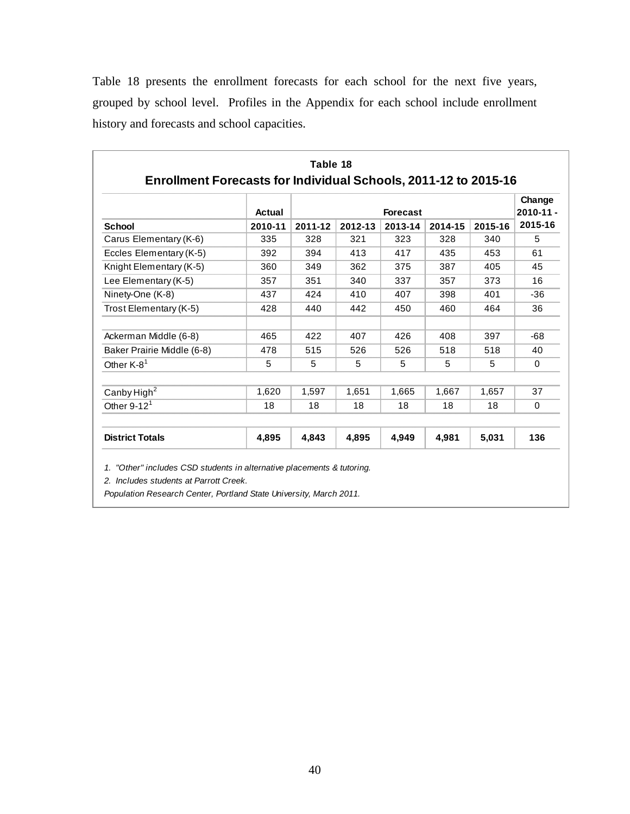Table 18 presents the enrollment forecasts for each school for the next five years, grouped by school level. Profiles in the Appendix for each school include enrollment history and forecasts and school capacities.

|                            | Change<br>$2010 - 11 -$<br><b>Forecast</b><br>Actual |         |         |         |         |         |         |
|----------------------------|------------------------------------------------------|---------|---------|---------|---------|---------|---------|
| <b>School</b>              | 2010-11                                              | 2011-12 | 2012-13 | 2013-14 | 2014-15 | 2015-16 | 2015-16 |
| Carus Elementary (K-6)     | 335                                                  | 328     | 321     | 323     | 328     | 340     | 5       |
| Eccles Elementary (K-5)    | 392                                                  | 394     | 413     | 417     | 435     | 453     | 61      |
| Knight Elementary (K-5)    | 360                                                  | 349     | 362     | 375     | 387     | 405     | 45      |
| Lee Elementary (K-5)       | 357                                                  | 351     | 340     | 337     | 357     | 373     | 16      |
| Ninety-One (K-8)           | 437                                                  | 424     | 410     | 407     | 398     | 401     | $-36$   |
| Trost Elementary (K-5)     | 428                                                  | 440     | 442     | 450     | 460     | 464     | 36      |
| Ackerman Middle (6-8)      | 465                                                  | 422     | 407     | 426     | 408     | 397     | $-68$   |
| Baker Prairie Middle (6-8) | 478                                                  | 515     | 526     | 526     | 518     | 518     | 40      |
| Other K-8 <sup>1</sup>     | 5                                                    | 5       | 5       | 5       | 5       | 5       | 0       |
| Canby High <sup>2</sup>    | 1,620                                                | 1,597   | 1.651   | 1,665   | 1.667   | 1,657   | 37      |
| Other $9-121$              | 18                                                   | 18      | 18      | 18      | 18      | 18      | 0       |
| <b>District Totals</b>     | 4,895                                                | 4,843   | 4,895   | 4,949   | 4,981   | 5,031   | 136     |

*2. Includes students at Parrott Creek.*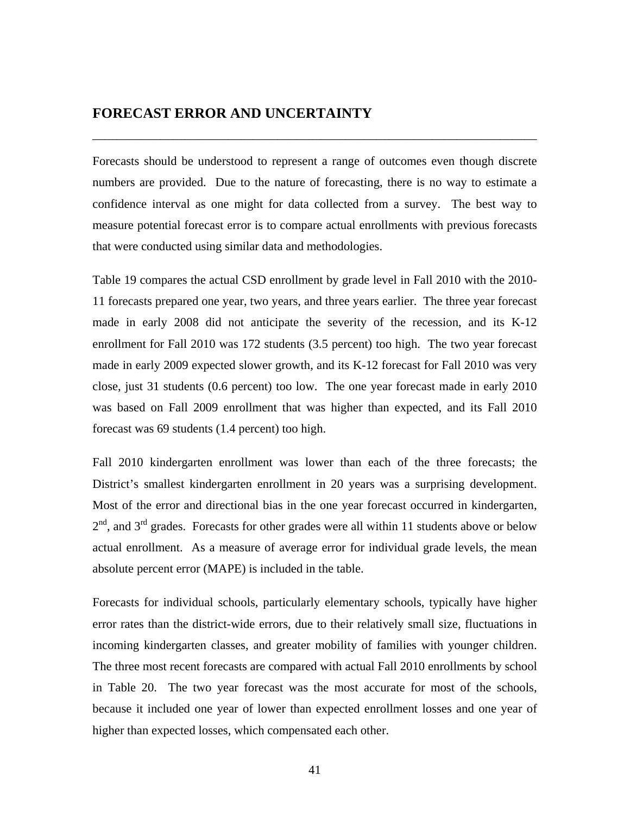#### **FORECAST ERROR AND UNCERTAINTY**

Forecasts should be understood to represent a range of outcomes even though discrete numbers are provided. Due to the nature of forecasting, there is no way to estimate a confidence interval as one might for data collected from a survey. The best way to measure potential forecast error is to compare actual enrollments with previous forecasts that were conducted using similar data and methodologies.

\_\_\_\_\_\_\_\_\_\_\_\_\_\_\_\_\_\_\_\_\_\_\_\_\_\_\_\_\_\_\_\_\_\_\_\_\_\_\_\_\_\_\_\_\_\_\_\_\_\_\_\_\_\_\_\_\_\_\_\_\_\_\_\_\_\_\_\_\_\_\_\_

Table 19 compares the actual CSD enrollment by grade level in Fall 2010 with the 2010- 11 forecasts prepared one year, two years, and three years earlier. The three year forecast made in early 2008 did not anticipate the severity of the recession, and its K-12 enrollment for Fall 2010 was 172 students (3.5 percent) too high. The two year forecast made in early 2009 expected slower growth, and its K-12 forecast for Fall 2010 was very close, just 31 students (0.6 percent) too low. The one year forecast made in early 2010 was based on Fall 2009 enrollment that was higher than expected, and its Fall 2010 forecast was 69 students (1.4 percent) too high.

Fall 2010 kindergarten enrollment was lower than each of the three forecasts; the District's smallest kindergarten enrollment in 20 years was a surprising development. Most of the error and directional bias in the one year forecast occurred in kindergarten,  $2<sup>nd</sup>$ , and  $3<sup>rd</sup>$  grades. Forecasts for other grades were all within 11 students above or below actual enrollment. As a measure of average error for individual grade levels, the mean absolute percent error (MAPE) is included in the table.

Forecasts for individual schools, particularly elementary schools, typically have higher error rates than the district-wide errors, due to their relatively small size, fluctuations in incoming kindergarten classes, and greater mobility of families with younger children. The three most recent forecasts are compared with actual Fall 2010 enrollments by school in Table 20. The two year forecast was the most accurate for most of the schools, because it included one year of lower than expected enrollment losses and one year of higher than expected losses, which compensated each other.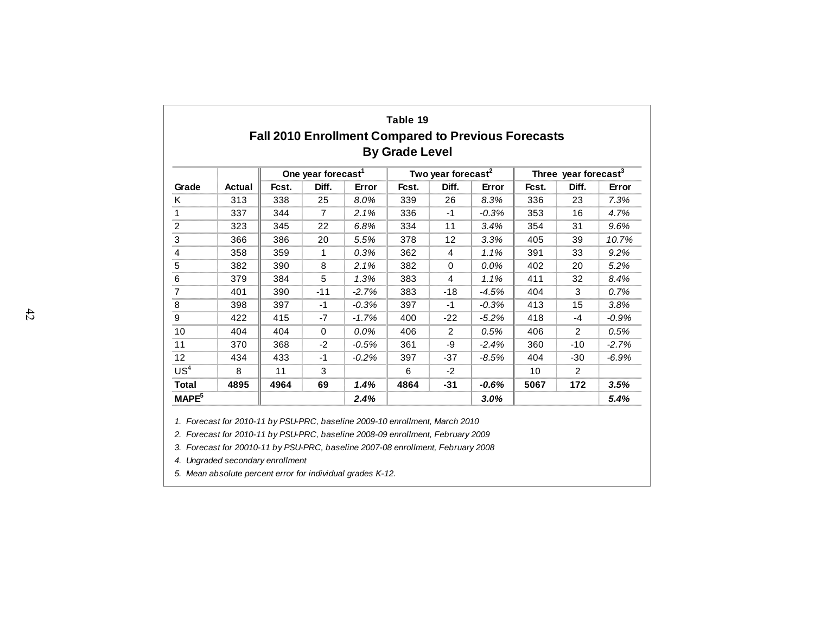|                   |        |       |                                |                                                     | Table 19              |                                |         |       |                                  |         |
|-------------------|--------|-------|--------------------------------|-----------------------------------------------------|-----------------------|--------------------------------|---------|-------|----------------------------------|---------|
|                   |        |       |                                | Fall 2010 Enrollment Compared to Previous Forecasts | <b>By Grade Level</b> |                                |         |       |                                  |         |
|                   |        |       | One year forecast <sup>1</sup> |                                                     |                       | Two year forecast <sup>2</sup> |         |       | Three year forecast <sup>3</sup> |         |
| Grade             | Actual | Fcst. | Diff.                          | Error                                               | Fcst.                 | Diff.                          | Error   | Fcst. | Diff.                            | Error   |
| K                 | 313    | 338   | 25                             | 8.0%                                                | 339                   | 26                             | 8.3%    | 336   | 23                               | 7.3%    |
| 1                 | 337    | 344   | $\overline{7}$                 | 2.1%                                                | 336                   | $-1$                           | $-0.3%$ | 353   | 16                               | 4.7%    |
| $\overline{2}$    | 323    | 345   | 22                             | 6.8%                                                | 334                   | 11                             | 3.4%    | 354   | 31                               | 9.6%    |
| 3                 | 366    | 386   | 20                             | 5.5%                                                | 378                   | 12                             | 3.3%    | 405   | 39                               | 10.7%   |
| 4                 | 358    | 359   | 1                              | 0.3%                                                | 362                   | 4                              | 1.1%    | 391   | 33                               | 9.2%    |
| 5                 | 382    | 390   | 8                              | 2.1%                                                | 382                   | $\Omega$                       | $0.0\%$ | 402   | 20                               | 5.2%    |
| 6                 | 379    | 384   | 5                              | 1.3%                                                | 383                   | 4                              | 1.1%    | 411   | 32                               | 8.4%    |
| $\overline{7}$    | 401    | 390   | $-11$                          | $-2.7%$                                             | 383                   | $-18$                          | $-4.5%$ | 404   | 3                                | 0.7%    |
| 8                 | 398    | 397   | $-1$                           | $-0.3%$                                             | 397                   | $-1$                           | $-0.3%$ | 413   | 15                               | 3.8%    |
| 9                 | 422    | 415   | $-7$                           | $-1.7%$                                             | 400                   | $-22$                          | $-5.2%$ | 418   | -4                               | $-0.9%$ |
| 10                | 404    | 404   | $\Omega$                       | $0.0\%$                                             | 406                   | 2                              | 0.5%    | 406   | 2                                | 0.5%    |
| 11                | 370    | 368   | $-2$                           | $-0.5%$                                             | 361                   | -9                             | $-2.4%$ | 360   | -10                              | $-2.7%$ |
| 12                | 434    | 433   | $-1$                           | $-0.2%$                                             | 397                   | -37                            | $-8.5%$ | 404   | -30                              | $-6.9%$ |
| US <sup>4</sup>   | 8      | 11    | 3                              |                                                     | 6                     | $-2$                           |         | 10    | 2                                |         |
| <b>Total</b>      | 4895   | 4964  | 69                             | 1.4%                                                | 4864                  | -31                            | $-0.6%$ | 5067  | 172                              | 3.5%    |
| MAPE <sup>5</sup> |        |       |                                | 2.4%                                                |                       |                                | 3.0%    |       |                                  | 5.4%    |

*1. Forecast for 2010-11 by PSU-PRC, baseline 2009-10 enrollment, March 2010*

*2. Forecast for 2010-11 by PSU-PRC, baseline 2008-09 enrollment, February 2009*

*3. Forecast for 20010-11 by PSU-PRC, baseline 2007-08 enrollment, February 2008*

*4. Ungraded secondary enrollment*

*5. Mean absolute percent error for individual grades K-12.*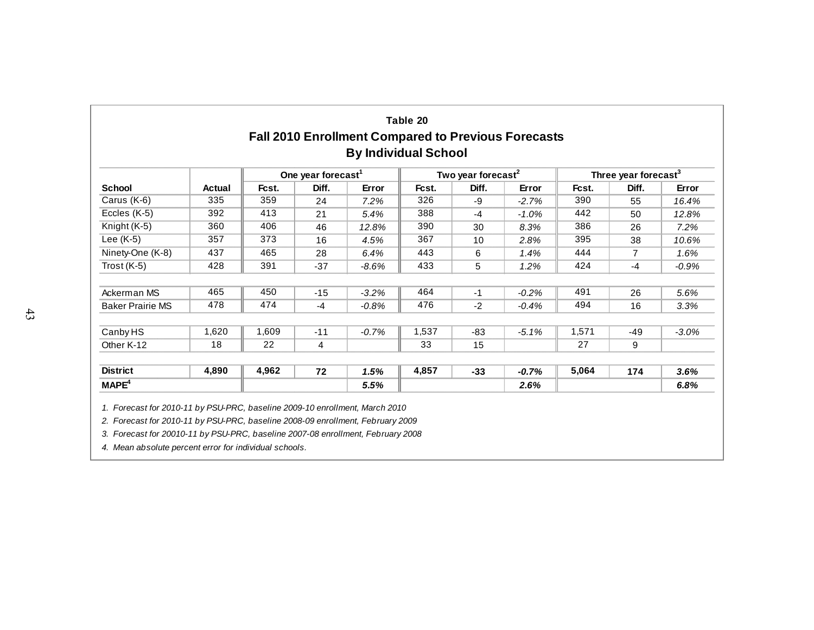| Table 20                                                   |
|------------------------------------------------------------|
| <b>Fall 2010 Enrollment Compared to Previous Forecasts</b> |
| <b>By Individual School</b>                                |

|                         |               |       | One year forecast <sup>1</sup> |         |       | Two year forecast <sup>2</sup> |         |       | Three year forecast <sup>3</sup> |          |  |
|-------------------------|---------------|-------|--------------------------------|---------|-------|--------------------------------|---------|-------|----------------------------------|----------|--|
| <b>School</b>           | <b>Actual</b> | Fcst. | Diff.                          | Error   | Fcst. | Diff.                          | Error   | Fcst. | Diff.                            | Error    |  |
| Carus (K-6)             | 335           | 359   | 24                             | 7.2%    | 326   | -9                             | $-2.7%$ | 390   | 55                               | 16.4%    |  |
| Eccles (K-5)            | 392           | 413   | 21                             | 5.4%    | 388   | $-4$                           | $-1.0%$ | 442   | 50                               | 12.8%    |  |
| Knight (K-5)            | 360           | 406   | 46                             | 12.8%   | 390   | 30                             | 8.3%    | 386   | 26                               | 7.2%     |  |
| Lee $(K-5)$             | 357           | 373   | 16                             | 4.5%    | 367   | 10                             | 2.8%    | 395   | 38                               | 10.6%    |  |
| Ninety-One (K-8)        | 437           | 465   | 28                             | 6.4%    | 443   | 6                              | 1.4%    | 444   | 7                                | 1.6%     |  |
| Trost $(K-5)$           | 428           | 391   | $-37$                          | $-8.6%$ | 433   | 5                              | 1.2%    | 424   | $-4$                             | $-0.9\%$ |  |
| Ackerman MS             | 465           | 450   | $-15$                          | $-3.2%$ | 464   | $-1$                           | $-0.2%$ | 491   | 26                               | 5.6%     |  |
| <b>Baker Prairie MS</b> | 478           | 474   | $-4$                           | $-0.8%$ | 476   | $-2$                           | $-0.4%$ | 494   | 16                               | 3.3%     |  |
| Canby HS                | 1,620         | 1,609 | $-11$                          | $-0.7%$ | 1,537 | -83                            | $-5.1%$ | 1,571 | $-49$                            | $-3.0%$  |  |
| Other K-12              | 18            | 22    | 4                              |         | 33    | 15                             |         | 27    | 9                                |          |  |
| <b>District</b>         | 4,890         | 4,962 | 72                             | 1.5%    | 4,857 | $-33$                          | $-0.7%$ | 5,064 | 174                              | 3.6%     |  |
| MAPE <sup>4</sup>       |               |       |                                | 5.5%    |       |                                | 2.6%    |       |                                  | 6.8%     |  |

*2. Forecast for 2010-11 by PSU-PRC, baseline 2008-09 enrollment, February 2009*

*3. Forecast for 20010-11 by PSU-PRC, baseline 2007-08 enrollment, February 2008*

*4. Mean absolute percent error for individual schools.*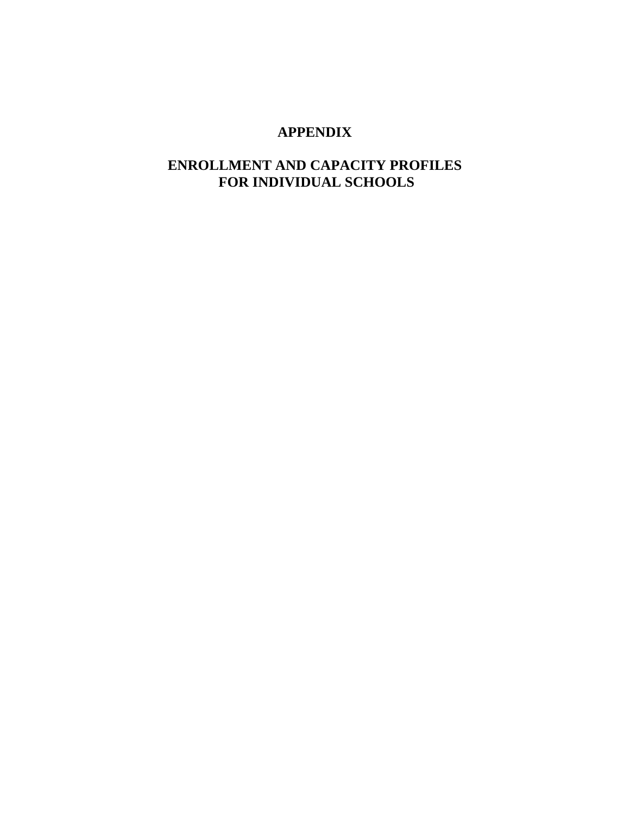### **APPENDIX**

### **ENROLLMENT AND CAPACITY PROFILES FOR INDIVIDUAL SCHOOLS**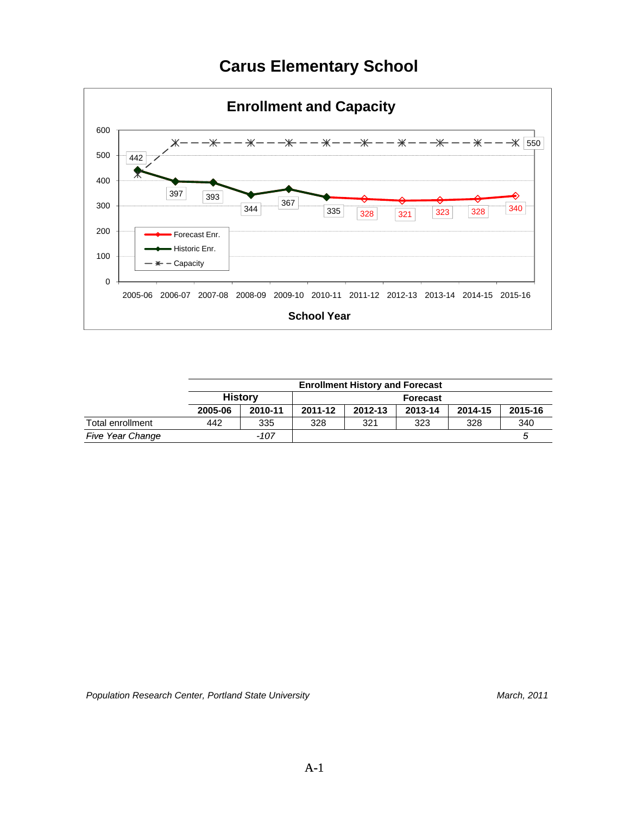## **Carus Elementary School**



|                         |         | <b>Enrollment History and Forecast</b> |                 |         |         |         |         |  |  |  |
|-------------------------|---------|----------------------------------------|-----------------|---------|---------|---------|---------|--|--|--|
|                         |         | <b>History</b>                         | <b>Forecast</b> |         |         |         |         |  |  |  |
|                         | 2005-06 | 2010-11                                | 2011-12         | 2012-13 | 2013-14 | 2014-15 | 2015-16 |  |  |  |
| Total enrollment        | 442     | 335                                    | 328             | 321     | 323     | 328     | 340     |  |  |  |
| <b>Five Year Change</b> |         | $-107$                                 |                 |         |         |         |         |  |  |  |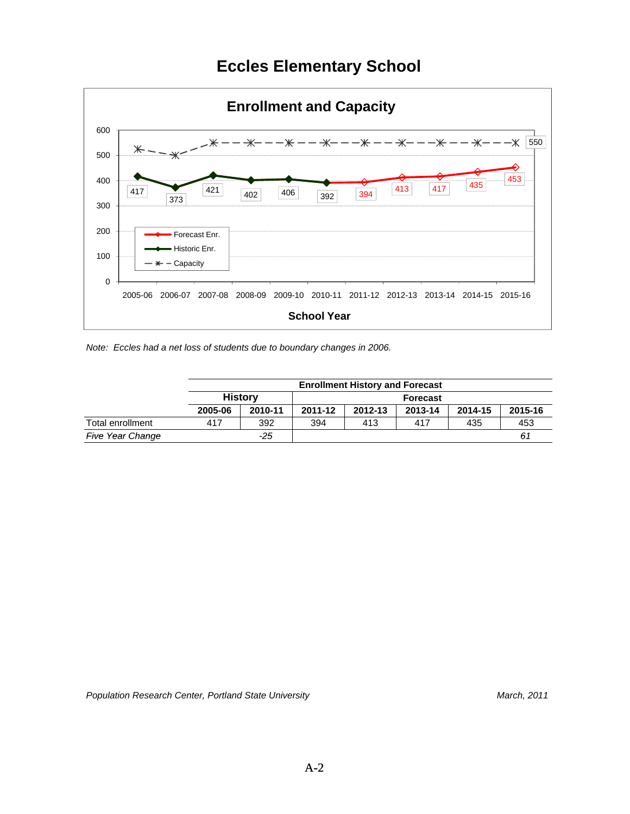## **Eccles Elementary School**



*Note: Eccles had a net loss of students due to boundary changes in 2006.*

|                         |         | <b>Enrollment History and Forecast</b> |                 |         |         |         |         |  |  |  |
|-------------------------|---------|----------------------------------------|-----------------|---------|---------|---------|---------|--|--|--|
|                         |         | <b>History</b>                         | <b>Forecast</b> |         |         |         |         |  |  |  |
|                         | 2005-06 | 2010-11                                | 2011-12         | 2012-13 | 2013-14 | 2014-15 | 2015-16 |  |  |  |
| Total enrollment        | 417     | 392                                    | 394             | 413     | 417     | 435     | 453     |  |  |  |
| <b>Five Year Change</b> |         | -25                                    |                 |         |         |         | 61      |  |  |  |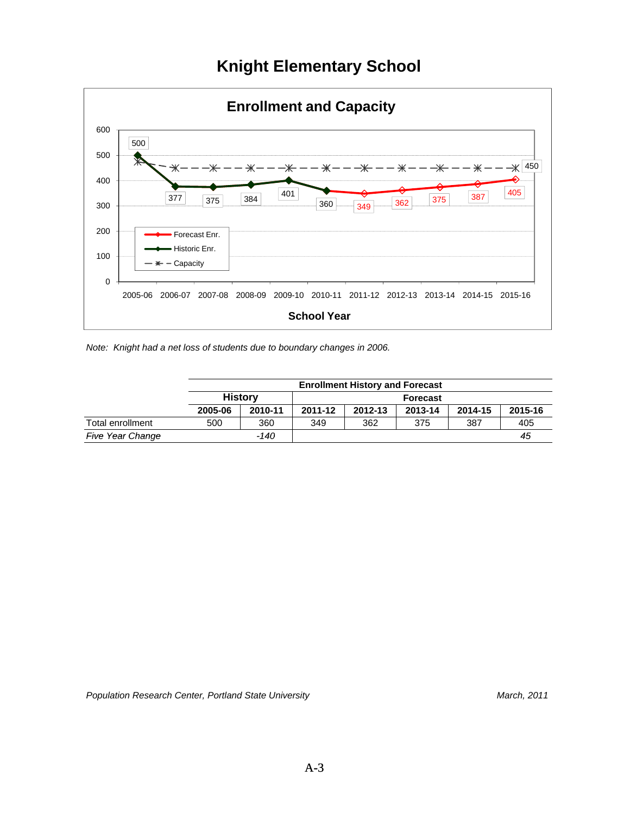## **Knight Elementary School**



*Note: Knight had a net loss of students due to boundary changes in 2006.*

|                         |         | <b>Enrollment History and Forecast</b> |                 |         |         |         |         |  |  |  |
|-------------------------|---------|----------------------------------------|-----------------|---------|---------|---------|---------|--|--|--|
|                         |         | <b>History</b>                         | <b>Forecast</b> |         |         |         |         |  |  |  |
|                         | 2005-06 | 2010-11                                | 2011-12         | 2012-13 | 2013-14 | 2014-15 | 2015-16 |  |  |  |
| Total enrollment        | 500     | 360                                    | 349             | 362     | 375     | 387     | 405     |  |  |  |
| <b>Five Year Change</b> |         | -140                                   |                 |         |         |         | 45      |  |  |  |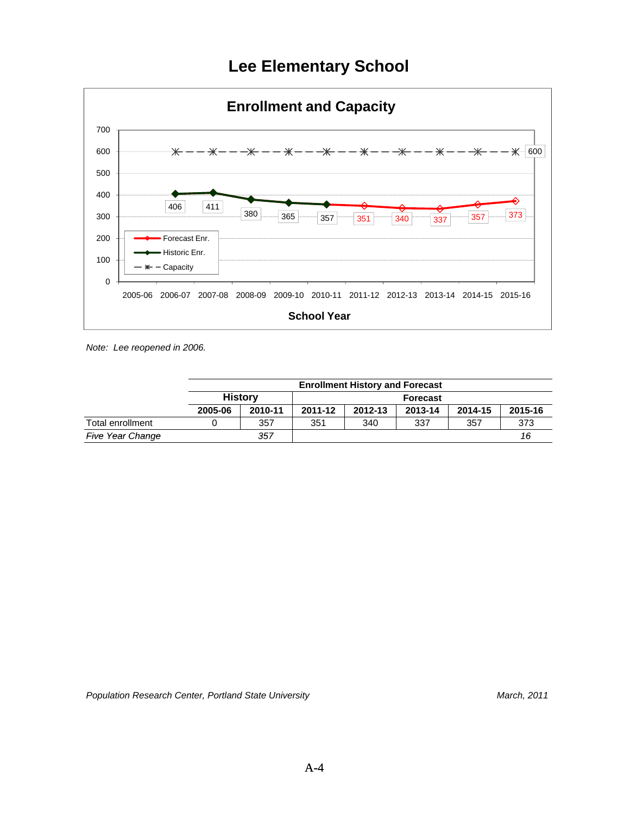## **Lee Elementary School**



*Note: Lee reopened in 2006.*

|                         |         | <b>Enrollment History and Forecast</b> |                 |         |         |         |         |  |  |  |
|-------------------------|---------|----------------------------------------|-----------------|---------|---------|---------|---------|--|--|--|
|                         |         | History                                | <b>Forecast</b> |         |         |         |         |  |  |  |
|                         | 2005-06 | 2010-11                                | 2011-12         | 2012-13 | 2013-14 | 2014-15 | 2015-16 |  |  |  |
| Total enrollment        |         | 357                                    | 351             | 340     | 337     | 357     | 373     |  |  |  |
| <b>Five Year Change</b> |         | 357                                    |                 |         |         |         | 16      |  |  |  |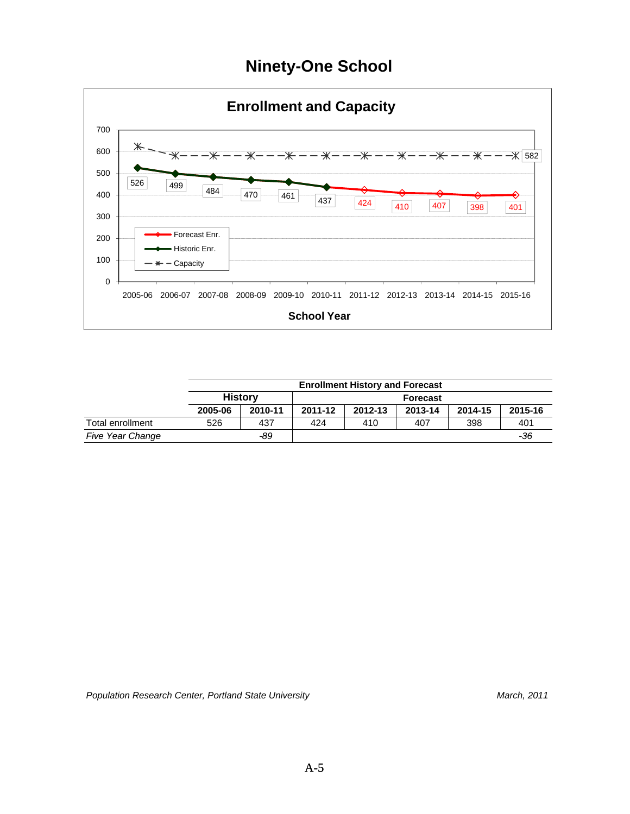## **Ninety-One School**



|                         |         | <b>Enrollment History and Forecast</b> |                 |         |         |         |         |  |  |  |
|-------------------------|---------|----------------------------------------|-----------------|---------|---------|---------|---------|--|--|--|
|                         |         | <b>History</b>                         | <b>Forecast</b> |         |         |         |         |  |  |  |
|                         | 2005-06 | 2010-11                                | 2011-12         | 2012-13 | 2013-14 | 2014-15 | 2015-16 |  |  |  |
| Total enrollment        | 526     | 437                                    | 424             | 410     | 407     | 398     | 401     |  |  |  |
| <b>Five Year Change</b> |         | -89                                    |                 |         |         |         | -36     |  |  |  |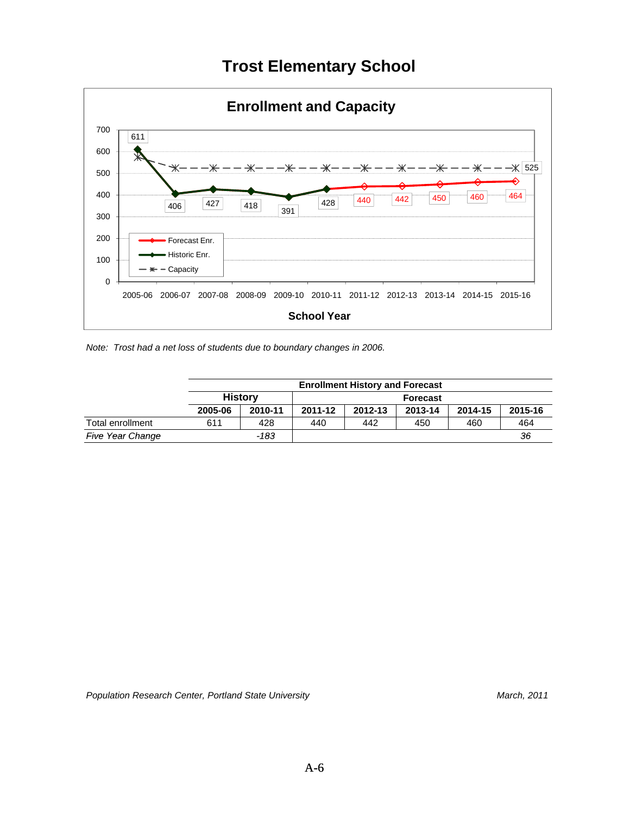## **Trost Elementary School**



*Note: Trost had a net loss of students due to boundary changes in 2006.*

|                         |         | <b>Enrollment History and Forecast</b> |                 |         |         |         |         |  |  |  |
|-------------------------|---------|----------------------------------------|-----------------|---------|---------|---------|---------|--|--|--|
|                         |         | <b>History</b>                         | <b>Forecast</b> |         |         |         |         |  |  |  |
|                         | 2005-06 | 2010-11                                | 2011-12         | 2012-13 | 2013-14 | 2014-15 | 2015-16 |  |  |  |
| Total enrollment        | 611     | 428                                    | 440             | 442     | 450     | 460     | 464     |  |  |  |
| <b>Five Year Change</b> |         | -183                                   |                 |         |         |         | 36      |  |  |  |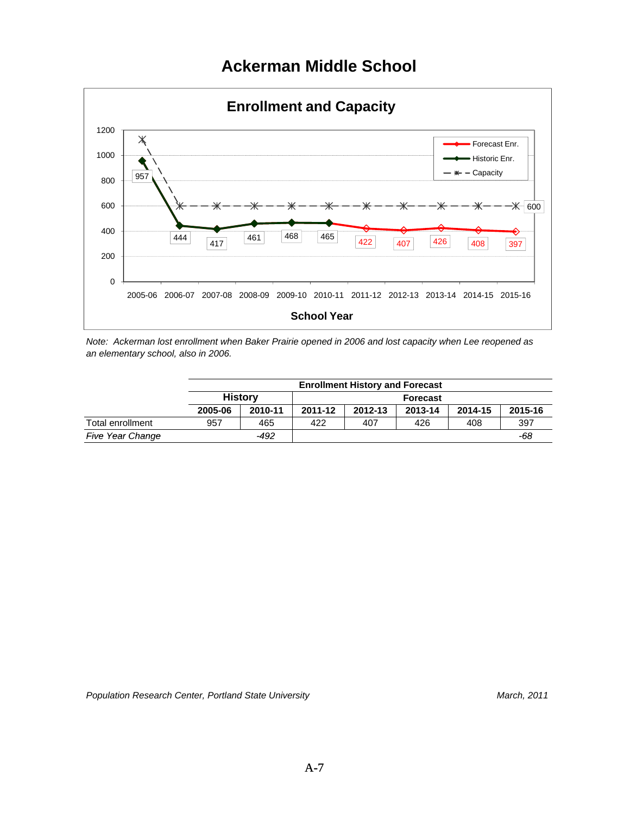## **Ackerman Middle School**



*Note: Ackerman lost enrollment when Baker Prairie opened in 2006 and lost capacity when Lee reopened as an elementary school, also in 2006.*

|                         |         | <b>Enrollment History and Forecast</b> |                 |         |         |         |         |  |  |  |
|-------------------------|---------|----------------------------------------|-----------------|---------|---------|---------|---------|--|--|--|
|                         |         | <b>History</b>                         | <b>Forecast</b> |         |         |         |         |  |  |  |
|                         | 2005-06 | 2010-11                                | 2011-12         | 2012-13 | 2013-14 | 2014-15 | 2015-16 |  |  |  |
| Total enrollment        | 957     | 465                                    | 422             | 407     | 426     | 408     | 397     |  |  |  |
| <b>Five Year Change</b> |         | -492                                   |                 |         |         |         | -68     |  |  |  |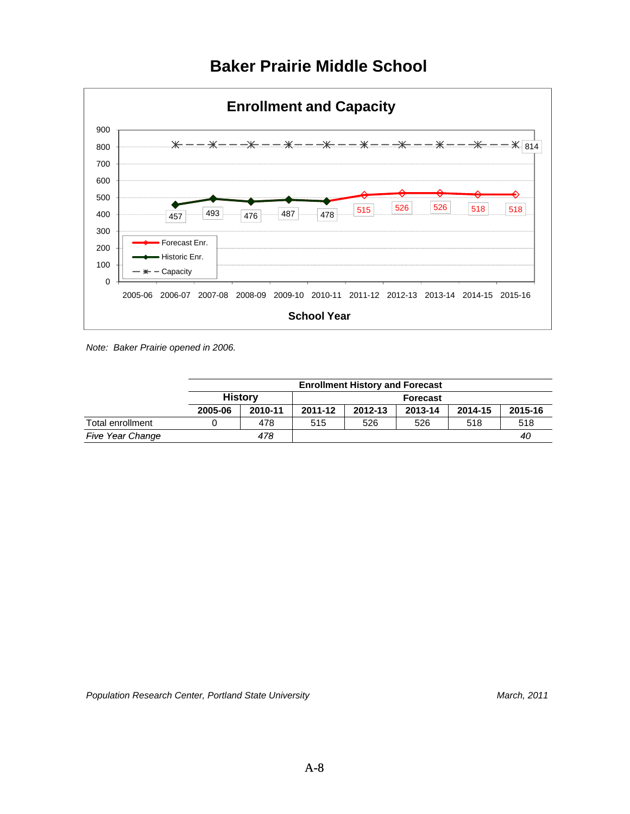

## **Baker Prairie Middle School**

*Note: Baker Prairie opened in 2006.*

|                         |         | <b>Enrollment History and Forecast</b> |                 |         |         |         |         |  |  |  |
|-------------------------|---------|----------------------------------------|-----------------|---------|---------|---------|---------|--|--|--|
|                         |         | <b>History</b>                         | <b>Forecast</b> |         |         |         |         |  |  |  |
|                         | 2005-06 | 2010-11                                | 2011-12         | 2012-13 | 2013-14 | 2014-15 | 2015-16 |  |  |  |
| Total enrollment        |         | 478                                    | 515             | 526     | 526     | 518     | 518     |  |  |  |
| <b>Five Year Change</b> |         | 478                                    |                 |         |         |         | 40      |  |  |  |